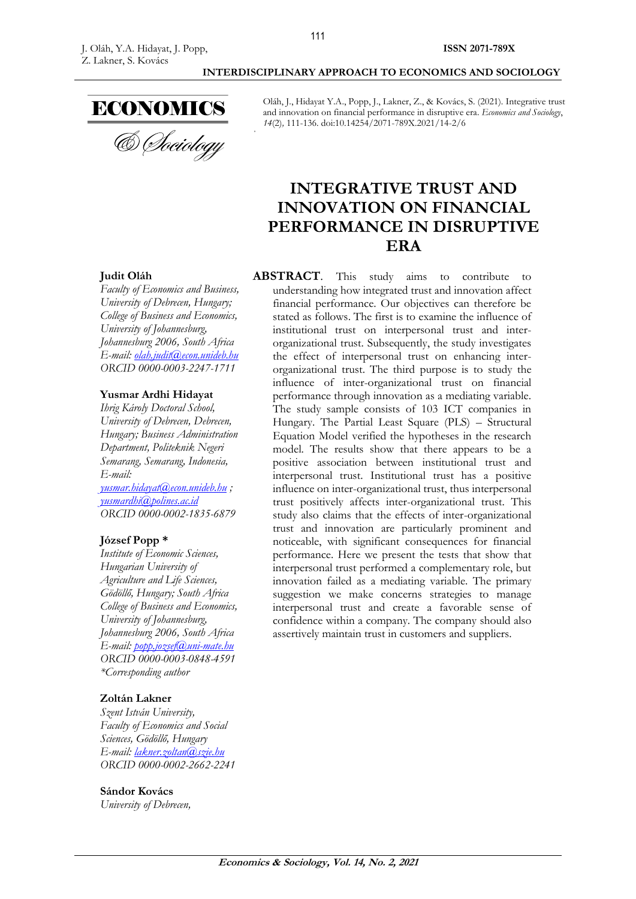

Oláh, J., Hidayat Y.A., Popp, J., Lakner, Z., & Kovács, S. (2021). Integrative trust and innovation on financial performance in disruptive era. *Economics and Sociology*, *14*(2)*,* 111-136. doi:10.14254/2071-789X.2021/14-2/6

# **INTEGRATIVE TRUST AND INNOVATION ON FINANCIAL PERFORMANCE IN DISRUPTIVE ERA**

#### **Judit Oláh**

*Faculty of Economics and Business, University of Debrecen, Hungary; College of Business and Economics, University of Johannesburg, Johannesburg 2006, South Africa E-mail: [olah.judit@econ.unideb.hu](mailto:olah.judit@econ.unideb.hu) ORCID 0000-0003-2247-1711*

#### **Yusmar Ardhi Hidayat**

*Ihrig Károly Doctoral School, University of Debrecen, Debrecen, Hungary; Business Administration Department, Politeknik Negeri Semarang, Semarang, Indonesia, E-mail: [yusmar.hidayat@econ.unideb.hu](mailto:yusmar.hidayat@econ.unideb.hu) ;* 

*[yusmardhi@polines.ac.id](mailto:yusmardhi@polines.ac.id) ORCID 0000-0002-1835-6879*

#### **József Popp \***

*Institute of Economic Sciences, Hungarian University of Agriculture and Life Sciences, Gödöllő, Hungary; South Africa College of Business and Economics, University of Johannesburg, Johannesburg 2006, South Africa E-mail: [popp.jozsef@uni-mate.hu](mailto:popp.jozsef@uni-mate.hu) ORCID 0000-0003-0848-4591 \*Corresponding author*

#### **Zoltán Lakner**

*Szent István University, Faculty of Economics and Social Sciences, Gödöllő, Hungary E-mail: [lakner.zoltan@szie.hu](mailto:lakner.zoltan@szie.hu) ORCID 0000-0002-2662-2241*

#### **Sándor Kovács**

*University of Debrecen,* 

**ABSTRACT**. This study aims to contribute to understanding how integrated trust and innovation affect financial performance. Our objectives can therefore be stated as follows. The first is to examine the influence of institutional trust on interpersonal trust and interorganizational trust. Subsequently, the study investigates the effect of interpersonal trust on enhancing interorganizational trust. The third purpose is to study the influence of inter-organizational trust on financial performance through innovation as a mediating variable. The study sample consists of 103 ICT companies in Hungary. The Partial Least Square (PLS) – Structural Equation Model verified the hypotheses in the research model. The results show that there appears to be a positive association between institutional trust and interpersonal trust. Institutional trust has a positive influence on inter-organizational trust, thus interpersonal trust positively affects inter-organizational trust. This study also claims that the effects of inter-organizational trust and innovation are particularly prominent and noticeable, with significant consequences for financial performance. Here we present the tests that show that interpersonal trust performed a complementary role, but innovation failed as a mediating variable. The primary suggestion we make concerns strategies to manage interpersonal trust and create a favorable sense of confidence within a company. The company should also assertively maintain trust in customers and suppliers.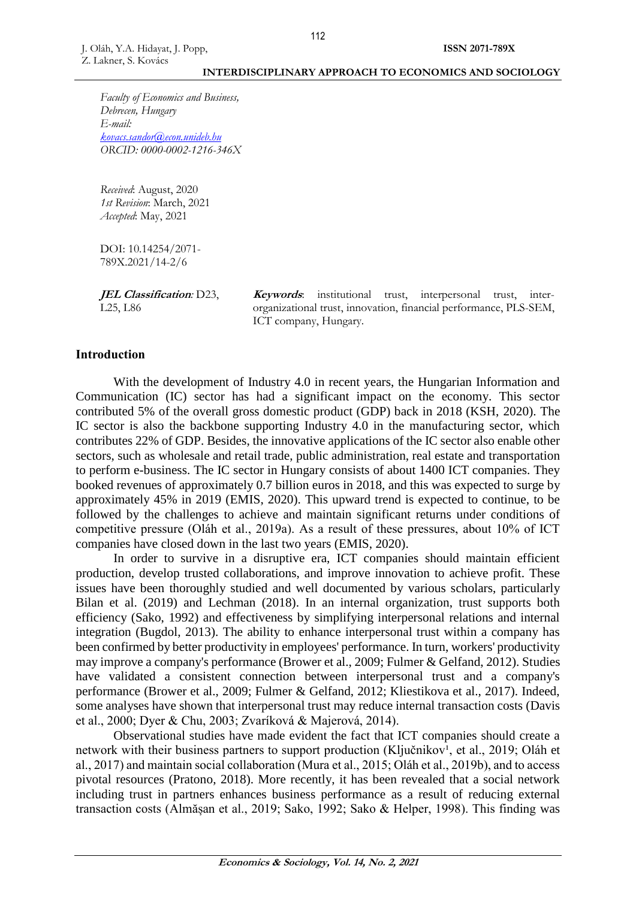*Faculty of Economics and Business, Debrecen, Hungary E-mail: [kovacs.sandor@econ.unideb.hu](mailto:kovacs.sandor@econ.unideb.hu) ORCID: 0000-0002-1216-346X*

*Received*: August, 2020 *1st Revision*: March, 2021 *Accepted*: May, 2021

DOI: 10.14254/2071- 789X.2021/14-2/6

**JEL Classification***:* D23, L25, L86

**Keywords:** institutional trust, interpersonal trust, interorganizational trust, innovation, financial performance, PLS-SEM, ICT company, Hungary.

### **Introduction**

With the development of Industry 4.0 in recent years, the Hungarian Information and Communication (IC) sector has had a significant impact on the economy. This sector contributed 5% of the overall gross domestic product (GDP) back in 2018 (KSH, 2020). The IC sector is also the backbone supporting Industry 4.0 in the manufacturing sector, which contributes 22% of GDP. Besides, the innovative applications of the IC sector also enable other sectors, such as wholesale and retail trade, public administration, real estate and transportation to perform e-business. The IC sector in Hungary consists of about 1400 ICT companies. They booked revenues of approximately 0.7 billion euros in 2018, and this was expected to surge by approximately 45% in 2019 (EMIS, 2020). This upward trend is expected to continue, to be followed by the challenges to achieve and maintain significant returns under conditions of competitive pressure (Oláh et al., 2019a). As a result of these pressures, about 10% of ICT companies have closed down in the last two years (EMIS, 2020).

In order to survive in a disruptive era, ICT companies should maintain efficient production, develop trusted collaborations, and improve innovation to achieve profit. These issues have been thoroughly studied and well documented by various scholars, particularly Bilan et al. (2019) and Lechman (2018). In an internal organization, trust supports both efficiency (Sako, 1992) and effectiveness by simplifying interpersonal relations and internal integration (Bugdol, 2013). The ability to enhance interpersonal trust within a company has been confirmed by better productivity in employees' performance. In turn, workers' productivity may improve a company's performance (Brower et al., 2009; Fulmer & Gelfand, 2012). Studies have validated a consistent connection between interpersonal trust and a company's performance (Brower et al., 2009; Fulmer & Gelfand, 2012; Kliestikova et al., 2017). Indeed, some analyses have shown that interpersonal trust may reduce internal transaction costs (Davis et al., 2000; Dyer & Chu, 2003; Zvaríková & Majerová, 2014).

Observational studies have made evident the fact that ICT companies should create a network with their business partners to support production (Ključnikov<sup>1</sup>, et al., 2019; Oláh et al., 2017) and maintain social collaboration (Mura et al., 2015; Oláh et al., 2019b), and to access pivotal resources (Pratono, 2018). More recently, it has been revealed that a social network including trust in partners enhances business performance as a result of reducing external transaction costs (Almășan et al., 2019; Sako, 1992; Sako & Helper, 1998). This finding was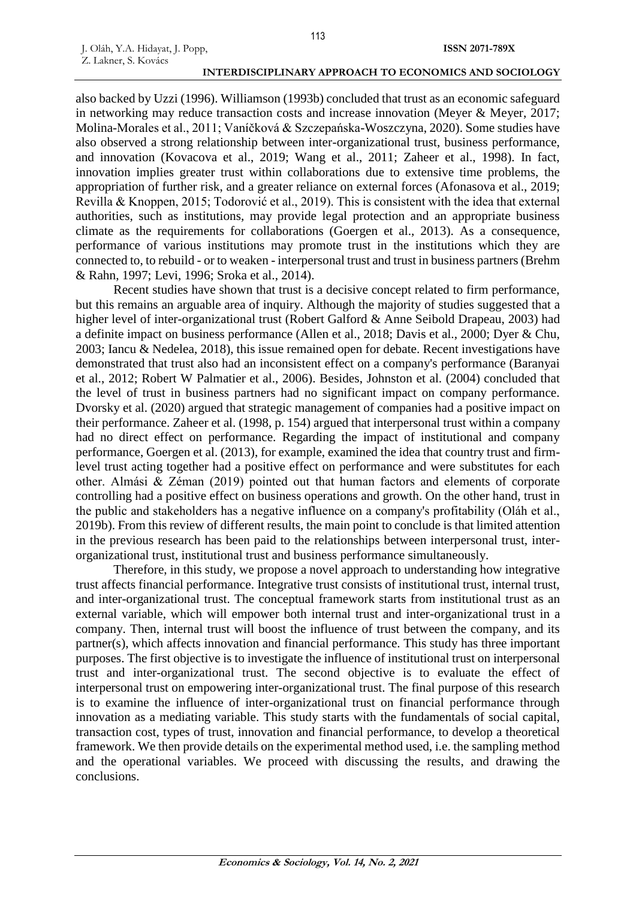also backed by Uzzi (1996). Williamson (1993b) concluded that trust as an economic safeguard in networking may reduce transaction costs and increase innovation (Meyer & Meyer, 2017; Molina-Morales et al., 2011; Vaníčková & Szczepańska-Woszczyna, 2020). Some studies have also observed a strong relationship between inter-organizational trust, business performance, and innovation (Kovacova et al., 2019; Wang et al., 2011; Zaheer et al., 1998). In fact, innovation implies greater trust within collaborations due to extensive time problems, the appropriation of further risk, and a greater reliance on external forces (Afonasova et al., 2019; Revilla & Knoppen, 2015; Todorović et al., 2019). This is consistent with the idea that external authorities, such as institutions, may provide legal protection and an appropriate business climate as the requirements for collaborations (Goergen et al., 2013). As a consequence, performance of various institutions may promote trust in the institutions which they are connected to, to rebuild - or to weaken - interpersonal trust and trust in business partners (Brehm & Rahn, 1997; Levi, 1996; Sroka et al., 2014).

Recent studies have shown that trust is a decisive concept related to firm performance, but this remains an arguable area of inquiry. Although the majority of studies suggested that a higher level of inter-organizational trust (Robert Galford & Anne Seibold Drapeau, 2003) had a definite impact on business performance (Allen et al., 2018; Davis et al., 2000; Dyer & Chu, 2003; Iancu & Nedelea, 2018), this issue remained open for debate. Recent investigations have demonstrated that trust also had an inconsistent effect on a company's performance (Baranyai et al., 2012; Robert W Palmatier et al., 2006). Besides, Johnston et al. (2004) concluded that the level of trust in business partners had no significant impact on company performance. Dvorsky et al. (2020) argued that strategic management of companies had a positive impact on their performance. Zaheer et al. (1998, p. 154) argued that interpersonal trust within a company had no direct effect on performance. Regarding the impact of institutional and company performance, Goergen et al. (2013), for example, examined the idea that country trust and firmlevel trust acting together had a positive effect on performance and were substitutes for each other. Almási & Zéman (2019) pointed out that human factors and elements of corporate controlling had a positive effect on business operations and growth. On the other hand, trust in the public and stakeholders has a negative influence on a company's profitability (Oláh et al., 2019b). From this review of different results, the main point to conclude is that limited attention in the previous research has been paid to the relationships between interpersonal trust, interorganizational trust, institutional trust and business performance simultaneously.

Therefore, in this study, we propose a novel approach to understanding how integrative trust affects financial performance. Integrative trust consists of institutional trust, internal trust, and inter-organizational trust. The conceptual framework starts from institutional trust as an external variable, which will empower both internal trust and inter-organizational trust in a company. Then, internal trust will boost the influence of trust between the company, and its partner(s), which affects innovation and financial performance. This study has three important purposes. The first objective is to investigate the influence of institutional trust on interpersonal trust and inter-organizational trust. The second objective is to evaluate the effect of interpersonal trust on empowering inter-organizational trust. The final purpose of this research is to examine the influence of inter-organizational trust on financial performance through innovation as a mediating variable. This study starts with the fundamentals of social capital, transaction cost, types of trust, innovation and financial performance, to develop a theoretical framework. We then provide details on the experimental method used, i.e. the sampling method and the operational variables. We proceed with discussing the results, and drawing the conclusions.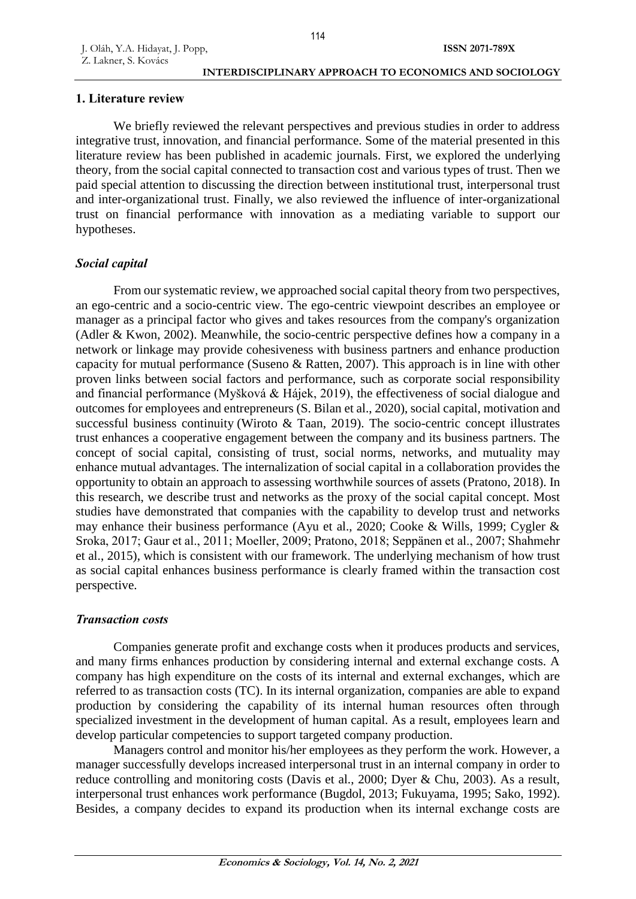## **1. Literature review**

We briefly reviewed the relevant perspectives and previous studies in order to address integrative trust, innovation, and financial performance. Some of the material presented in this literature review has been published in academic journals. First, we explored the underlying theory, from the social capital connected to transaction cost and various types of trust. Then we paid special attention to discussing the direction between institutional trust, interpersonal trust and inter-organizational trust. Finally, we also reviewed the influence of inter-organizational trust on financial performance with innovation as a mediating variable to support our hypotheses.

## *Social capital*

From our systematic review, we approached social capital theory from two perspectives, an ego-centric and a socio-centric view. The ego-centric viewpoint describes an employee or manager as a principal factor who gives and takes resources from the company's organization (Adler & Kwon, 2002). Meanwhile, the socio-centric perspective defines how a company in a network or linkage may provide cohesiveness with business partners and enhance production capacity for mutual performance (Suseno & Ratten, 2007). This approach is in line with other proven links between social factors and performance, such as corporate social responsibility and financial performance (Myšková & Hájek, 2019), the effectiveness of social dialogue and outcomes for employees and entrepreneurs (S. Bilan et al., 2020), social capital, motivation and successful business continuity (Wiroto & Taan, 2019). The socio-centric concept illustrates trust enhances a cooperative engagement between the company and its business partners. The concept of social capital, consisting of trust, social norms, networks, and mutuality may enhance mutual advantages. The internalization of social capital in a collaboration provides the opportunity to obtain an approach to assessing worthwhile sources of assets (Pratono, 2018). In this research, we describe trust and networks as the proxy of the social capital concept. Most studies have demonstrated that companies with the capability to develop trust and networks may enhance their business performance (Ayu et al., 2020; Cooke & Wills, 1999; Cygler & Sroka, 2017; Gaur et al., 2011; Moeller, 2009; Pratono, 2018; Seppänen et al., 2007; Shahmehr et al., 2015), which is consistent with our framework. The underlying mechanism of how trust as social capital enhances business performance is clearly framed within the transaction cost perspective.

## *Transaction costs*

Companies generate profit and exchange costs when it produces products and services, and many firms enhances production by considering internal and external exchange costs. A company has high expenditure on the costs of its internal and external exchanges, which are referred to as transaction costs (TC). In its internal organization, companies are able to expand production by considering the capability of its internal human resources often through specialized investment in the development of human capital. As a result, employees learn and develop particular competencies to support targeted company production.

Managers control and monitor his/her employees as they perform the work. However, a manager successfully develops increased interpersonal trust in an internal company in order to reduce controlling and monitoring costs (Davis et al., 2000; Dyer & Chu, 2003). As a result, interpersonal trust enhances work performance (Bugdol, 2013; Fukuyama, 1995; Sako, 1992). Besides, a company decides to expand its production when its internal exchange costs are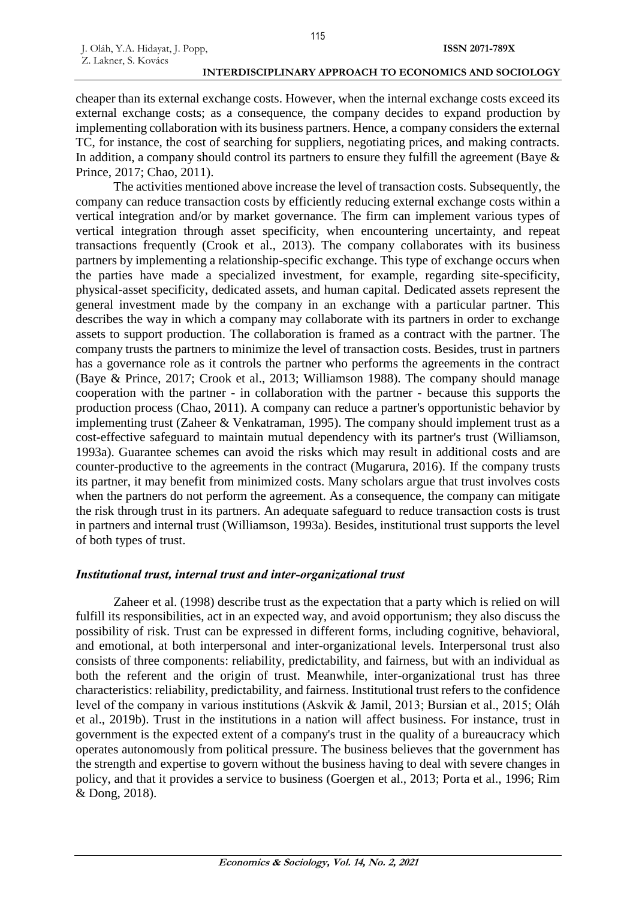cheaper than its external exchange costs. However, when the internal exchange costs exceed its external exchange costs; as a consequence, the company decides to expand production by implementing collaboration with its business partners. Hence, a company considers the external TC, for instance, the cost of searching for suppliers, negotiating prices, and making contracts. In addition, a company should control its partners to ensure they fulfill the agreement (Baye  $\&$ Prince, 2017; Chao, 2011).

The activities mentioned above increase the level of transaction costs. Subsequently, the company can reduce transaction costs by efficiently reducing external exchange costs within a vertical integration and/or by market governance. The firm can implement various types of vertical integration through asset specificity, when encountering uncertainty, and repeat transactions frequently (Crook et al., 2013). The company collaborates with its business partners by implementing a relationship-specific exchange. This type of exchange occurs when the parties have made a specialized investment, for example, regarding site-specificity, physical-asset specificity, dedicated assets, and human capital. Dedicated assets represent the general investment made by the company in an exchange with a particular partner. This describes the way in which a company may collaborate with its partners in order to exchange assets to support production. The collaboration is framed as a contract with the partner. The company trusts the partners to minimize the level of transaction costs. Besides, trust in partners has a governance role as it controls the partner who performs the agreements in the contract (Baye & Prince, 2017; Crook et al., 2013; Williamson 1988). The company should manage cooperation with the partner - in collaboration with the partner - because this supports the production process (Chao, 2011). A company can reduce a partner's opportunistic behavior by implementing trust (Zaheer & Venkatraman, 1995). The company should implement trust as a cost-effective safeguard to maintain mutual dependency with its partner's trust (Williamson, 1993a). Guarantee schemes can avoid the risks which may result in additional costs and are counter-productive to the agreements in the contract (Mugarura, 2016). If the company trusts its partner, it may benefit from minimized costs. Many scholars argue that trust involves costs when the partners do not perform the agreement. As a consequence, the company can mitigate the risk through trust in its partners. An adequate safeguard to reduce transaction costs is trust in partners and internal trust (Williamson, 1993a). Besides, institutional trust supports the level of both types of trust.

## *Institutional trust, internal trust and inter-organizational trust*

Zaheer et al. (1998) describe trust as the expectation that a party which is relied on will fulfill its responsibilities, act in an expected way, and avoid opportunism; they also discuss the possibility of risk. Trust can be expressed in different forms, including cognitive, behavioral, and emotional, at both interpersonal and inter-organizational levels. Interpersonal trust also consists of three components: reliability, predictability, and fairness, but with an individual as both the referent and the origin of trust. Meanwhile, inter-organizational trust has three characteristics: reliability, predictability, and fairness. Institutional trust refers to the confidence level of the company in various institutions (Askvik & Jamil, 2013; Bursian et al., 2015; Oláh et al., 2019b). Trust in the institutions in a nation will affect business. For instance, trust in government is the expected extent of a company's trust in the quality of a bureaucracy which operates autonomously from political pressure. The business believes that the government has the strength and expertise to govern without the business having to deal with severe changes in policy, and that it provides a service to business (Goergen et al., 2013; Porta et al., 1996; Rim & Dong, 2018).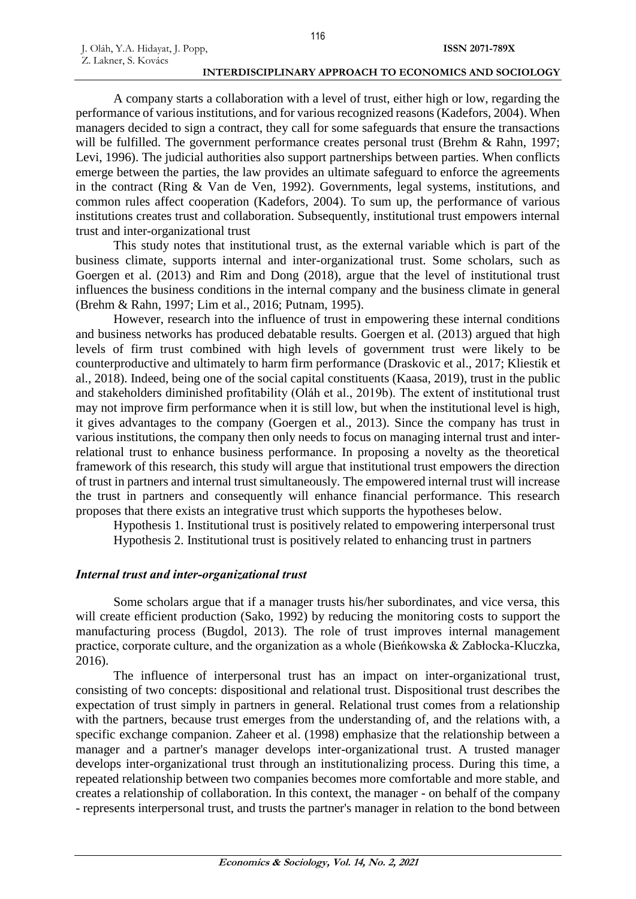A company starts a collaboration with a level of trust, either high or low, regarding the performance of various institutions, and for various recognized reasons (Kadefors, 2004). When managers decided to sign a contract, they call for some safeguards that ensure the transactions will be fulfilled. The government performance creates personal trust (Brehm & Rahn, 1997; Levi, 1996). The judicial authorities also support partnerships between parties. When conflicts emerge between the parties, the law provides an ultimate safeguard to enforce the agreements in the contract (Ring & Van de Ven, 1992). Governments, legal systems, institutions, and common rules affect cooperation (Kadefors, 2004). To sum up, the performance of various institutions creates trust and collaboration. Subsequently, institutional trust empowers internal trust and inter-organizational trust

This study notes that institutional trust, as the external variable which is part of the business climate, supports internal and inter-organizational trust. Some scholars, such as Goergen et al. (2013) and Rim and Dong (2018), argue that the level of institutional trust influences the business conditions in the internal company and the business climate in general (Brehm & Rahn, 1997; Lim et al., 2016; Putnam, 1995).

However, research into the influence of trust in empowering these internal conditions and business networks has produced debatable results. Goergen et al. (2013) argued that high levels of firm trust combined with high levels of government trust were likely to be counterproductive and ultimately to harm firm performance (Draskovic et al., 2017; Kliestik et al., 2018). Indeed, being one of the social capital constituents (Kaasa, 2019), trust in the public and stakeholders diminished profitability (Oláh et al., 2019b). The extent of institutional trust may not improve firm performance when it is still low, but when the institutional level is high, it gives advantages to the company (Goergen et al., 2013). Since the company has trust in various institutions, the company then only needs to focus on managing internal trust and interrelational trust to enhance business performance. In proposing a novelty as the theoretical framework of this research, this study will argue that institutional trust empowers the direction of trust in partners and internal trust simultaneously. The empowered internal trust will increase the trust in partners and consequently will enhance financial performance. This research proposes that there exists an integrative trust which supports the hypotheses below.

Hypothesis 1. Institutional trust is positively related to empowering interpersonal trust Hypothesis 2. Institutional trust is positively related to enhancing trust in partners

### *Internal trust and inter-organizational trust*

Some scholars argue that if a manager trusts his/her subordinates, and vice versa, this will create efficient production (Sako, 1992) by reducing the monitoring costs to support the manufacturing process (Bugdol, 2013). The role of trust improves internal management practice, corporate culture, and the organization as a whole (Bieńkowska & Zabłocka-Kluczka, 2016).

The influence of interpersonal trust has an impact on inter-organizational trust, consisting of two concepts: dispositional and relational trust. Dispositional trust describes the expectation of trust simply in partners in general. Relational trust comes from a relationship with the partners, because trust emerges from the understanding of, and the relations with, a specific exchange companion. Zaheer et al. (1998) emphasize that the relationship between a manager and a partner's manager develops inter-organizational trust. A trusted manager develops inter-organizational trust through an institutionalizing process. During this time, a repeated relationship between two companies becomes more comfortable and more stable, and creates a relationship of collaboration. In this context, the manager - on behalf of the company - represents interpersonal trust, and trusts the partner's manager in relation to the bond between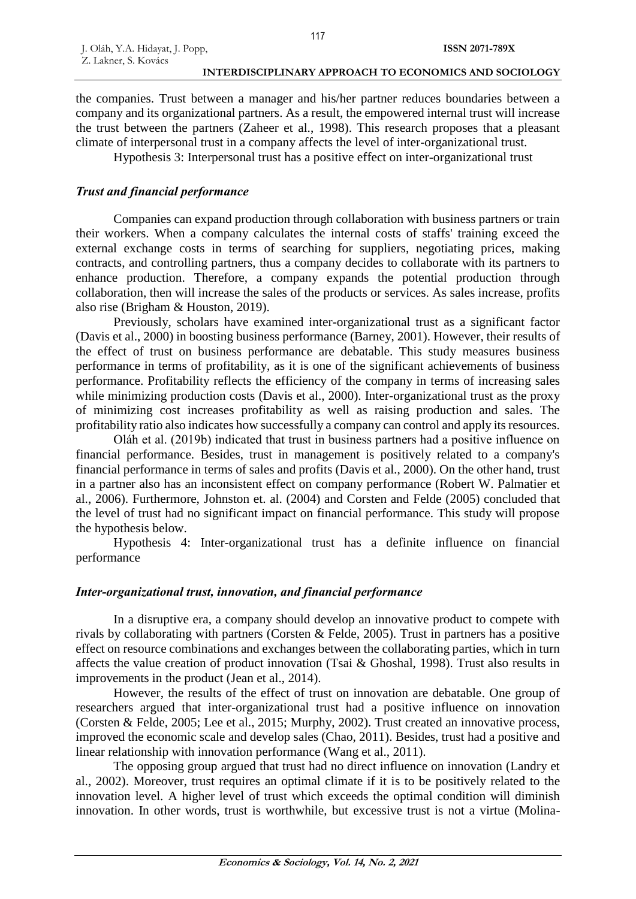the companies. Trust between a manager and his/her partner reduces boundaries between a company and its organizational partners. As a result, the empowered internal trust will increase the trust between the partners (Zaheer et al., 1998). This research proposes that a pleasant climate of interpersonal trust in a company affects the level of inter-organizational trust.

Hypothesis 3: Interpersonal trust has a positive effect on inter-organizational trust

## *Trust and financial performance*

Companies can expand production through collaboration with business partners or train their workers. When a company calculates the internal costs of staffs' training exceed the external exchange costs in terms of searching for suppliers, negotiating prices, making contracts, and controlling partners, thus a company decides to collaborate with its partners to enhance production. Therefore, a company expands the potential production through collaboration, then will increase the sales of the products or services. As sales increase, profits also rise (Brigham & Houston, 2019).

Previously, scholars have examined inter-organizational trust as a significant factor (Davis et al., 2000) in boosting business performance (Barney, 2001). However, their results of the effect of trust on business performance are debatable. This study measures business performance in terms of profitability, as it is one of the significant achievements of business performance. Profitability reflects the efficiency of the company in terms of increasing sales while minimizing production costs (Davis et al., 2000). Inter-organizational trust as the proxy of minimizing cost increases profitability as well as raising production and sales. The profitability ratio also indicates how successfully a company can control and apply its resources.

Oláh et al. (2019b) indicated that trust in business partners had a positive influence on financial performance. Besides, trust in management is positively related to a company's financial performance in terms of sales and profits (Davis et al., 2000). On the other hand, trust in a partner also has an inconsistent effect on company performance (Robert W. Palmatier et al., 2006). Furthermore, Johnston et. al. (2004) and Corsten and Felde (2005) concluded that the level of trust had no significant impact on financial performance. This study will propose the hypothesis below.

Hypothesis 4: Inter-organizational trust has a definite influence on financial performance

## *Inter-organizational trust, innovation, and financial performance*

In a disruptive era, a company should develop an innovative product to compete with rivals by collaborating with partners (Corsten & Felde, 2005). Trust in partners has a positive effect on resource combinations and exchanges between the collaborating parties, which in turn affects the value creation of product innovation (Tsai & Ghoshal, 1998). Trust also results in improvements in the product (Jean et al., 2014).

However, the results of the effect of trust on innovation are debatable. One group of researchers argued that inter-organizational trust had a positive influence on innovation (Corsten & Felde, 2005; Lee et al., 2015; Murphy, 2002). Trust created an innovative process, improved the economic scale and develop sales (Chao, 2011). Besides, trust had a positive and linear relationship with innovation performance (Wang et al., 2011).

The opposing group argued that trust had no direct influence on innovation (Landry et al., 2002). Moreover, trust requires an optimal climate if it is to be positively related to the innovation level. A higher level of trust which exceeds the optimal condition will diminish innovation. In other words, trust is worthwhile, but excessive trust is not a virtue (Molina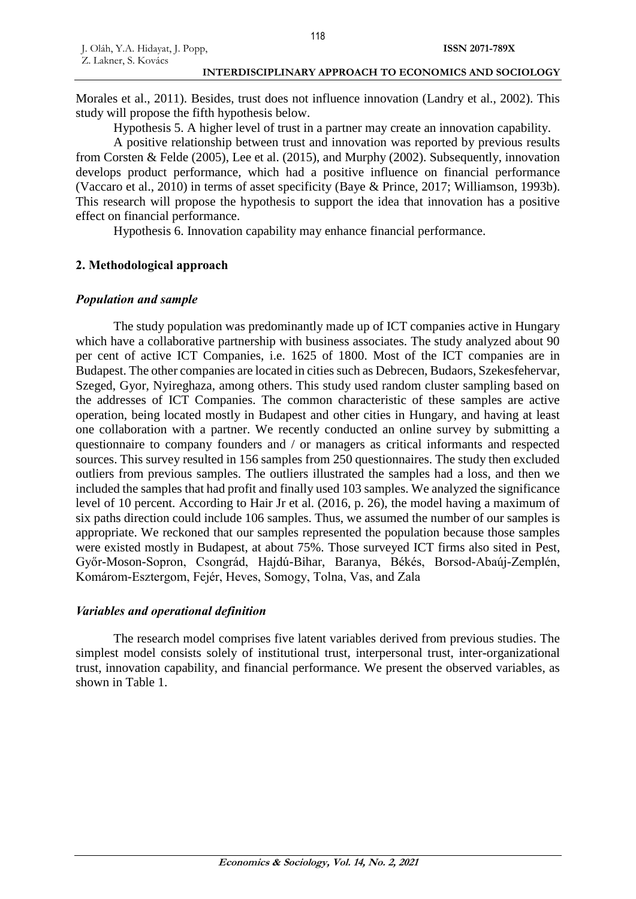Morales et al., 2011). Besides, trust does not influence innovation (Landry et al., 2002). This study will propose the fifth hypothesis below.

Hypothesis 5. A higher level of trust in a partner may create an innovation capability.

A positive relationship between trust and innovation was reported by previous results from Corsten & Felde (2005), Lee et al. (2015), and Murphy (2002). Subsequently, innovation develops product performance, which had a positive influence on financial performance (Vaccaro et al., 2010) in terms of asset specificity (Baye & Prince, 2017; Williamson, 1993b). This research will propose the hypothesis to support the idea that innovation has a positive effect on financial performance.

Hypothesis 6. Innovation capability may enhance financial performance.

## **2. Methodological approach**

## *Population and sample*

The study population was predominantly made up of ICT companies active in Hungary which have a collaborative partnership with business associates. The study analyzed about 90 per cent of active ICT Companies, i.e. 1625 of 1800. Most of the ICT companies are in Budapest. The other companies are located in cities such as Debrecen, Budaors, Szekesfehervar, Szeged, Gyor, Nyireghaza, among others. This study used random cluster sampling based on the addresses of ICT Companies. The common characteristic of these samples are active operation, being located mostly in Budapest and other cities in Hungary, and having at least one collaboration with a partner. We recently conducted an online survey by submitting a questionnaire to company founders and / or managers as critical informants and respected sources. This survey resulted in 156 samples from 250 questionnaires. The study then excluded outliers from previous samples. The outliers illustrated the samples had a loss, and then we included the samples that had profit and finally used 103 samples. We analyzed the significance level of 10 percent. According to Hair Jr et al. (2016, p. 26), the model having a maximum of six paths direction could include 106 samples. Thus, we assumed the number of our samples is appropriate. We reckoned that our samples represented the population because those samples were existed mostly in Budapest, at about 75%. Those surveyed ICT firms also sited in Pest, Győr-Moson-Sopron, Csongrád, Hajdú-Bihar, Baranya, Békés, Borsod-Abaúj-Zemplén, Komárom-Esztergom, Fejér, Heves, Somogy, Tolna, Vas, and Zala

## *Variables and operational definition*

The research model comprises five latent variables derived from previous studies. The simplest model consists solely of institutional trust, interpersonal trust, inter-organizational trust, innovation capability, and financial performance. We present the observed variables, as shown in Table 1.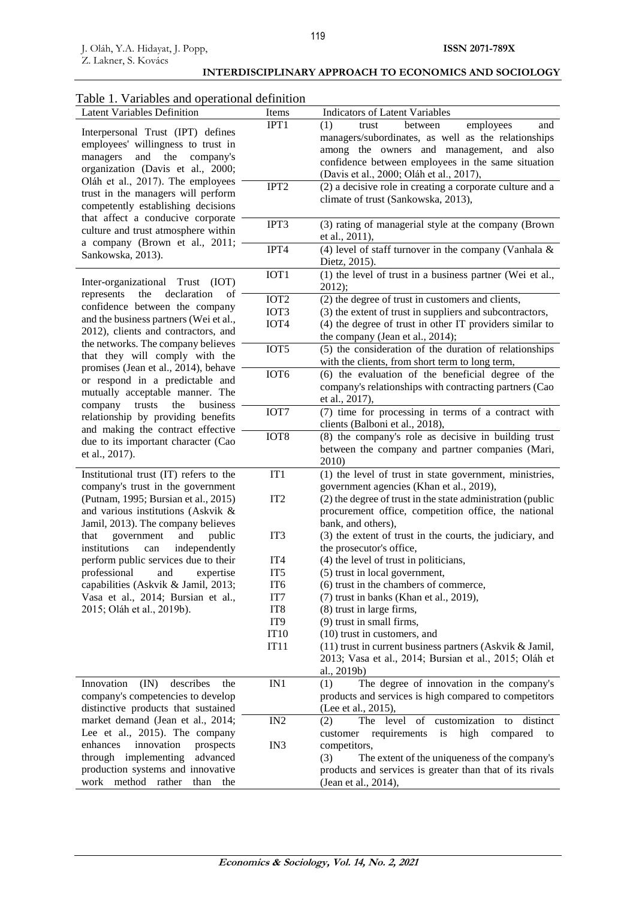work method rather than the

#### Latent Variables Definition Items Indicators of Latent Variables Interpersonal Trust (IPT) defines employees' willingness to trust in managers and the company's organization (Davis et al., 2000; Oláh et al., 2017). The employees trust in the managers will perform competently establishing decisions that affect a conducive corporate culture and trust atmosphere within a company (Brown et al., 2011; Sankowska, 2013). IPT1 (1) trust between employees and managers/subordinates, as well as the relationships among the owners and management, and also confidence between employees in the same situation (Davis et al., 2000; Oláh et al., 2017), IPT2 (2) a decisive role in creating a corporate culture and a climate of trust (Sankowska, 2013), IPT3 (3) rating of managerial style at the company (Brown et al., 2011), IPT4 (4) level of staff turnover in the company (Vanhala  $\&$ Dietz, 2015). Inter-organizational Trust (IOT) represents the declaration of confidence between the company and the business partners (Wei et al., 2012), clients and contractors, and the networks. The company believes that they will comply with the promises (Jean et al., 2014), behave or respond in a predictable and mutually acceptable manner. The company trusts the business relationship by providing benefits and making the contract effective due to its important character (Cao et al., 2017). IOT1 (1) the level of trust in a business partner (Wei et al., 2012); IOT2 IOT3 IOT4 (2) the degree of trust in customers and clients, (3) the extent of trust in suppliers and subcontractors, (4) the degree of trust in other IT providers similar to the company (Jean et al., 2014); IOT5 (5) the consideration of the duration of relationships with the clients, from short term to long term, IOT6 (6) the evaluation of the beneficial degree of the company's relationships with contracting partners (Cao et al., 2017), IOT7 (7) time for processing in terms of a contract with clients (Balboni et al., 2018), IOT8 (8) the company's role as decisive in building trust between the company and partner companies (Mari, 2010) Institutional trust (IT) refers to the company's trust in the government (Putnam, 1995; Bursian et al., 2015) and various institutions (Askvik & Jamil, 2013). The company believes that government and public institutions can independently perform public services due to their professional and expertise capabilities (Askvik & Jamil, 2013; Vasa et al., 2014; Bursian et al., 2015; Oláh et al., 2019b). IT1 IT2 IT3 IT4 IT5 IT6 IT7 IT8 IT9 IT10 IT11 (1) the level of trust in state government, ministries, government agencies (Khan et al., 2019), (2) the degree of trust in the state administration (public procurement office, competition office, the national bank, and others), (3) the extent of trust in the courts, the judiciary, and the prosecutor's office, (4) the level of trust in politicians, (5) trust in local government, (6) trust in the chambers of commerce, (7) trust in banks (Khan et al., 2019), (8) trust in large firms, (9) trust in small firms, (10) trust in customers, and (11) trust in current business partners (Askvik & Jamil, 2013; Vasa et al., 2014; Bursian et al., 2015; Oláh et al., 2019b) Innovation (IN) describes the company's competencies to develop distinctive products that sustained market demand (Jean et al., 2014; Lee et al., 2015). The company enhances innovation prospects through implementing advanced production systems and innovative IN1 (1) The degree of innovation in the company's products and services is high compared to competitors (Lee et al., 2015). IN2 IN3 (2) The level of customization to distinct customer requirements is high compared to competitors, (3) The extent of the uniqueness of the company's products and services is greater than that of its rivals

**INTERDISCIPLINARY APPROACH TO ECONOMICS AND SOCIOLOGY**

## Table 1. Variables and operational definition

(Jean et al., 2014),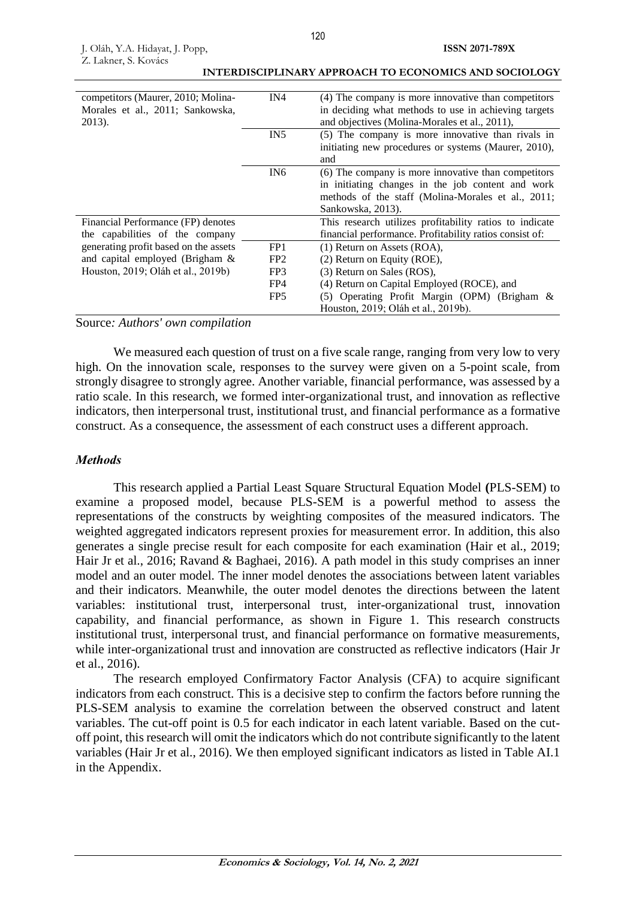| competitors (Maurer, 2010; Molina-<br>Morales et al., 2011; Sankowska,<br>2013). | IN4             | (4) The company is more innovative than competitors<br>in deciding what methods to use in achieving targets<br>and objectives (Molina-Morales et al., 2011),                        |
|----------------------------------------------------------------------------------|-----------------|-------------------------------------------------------------------------------------------------------------------------------------------------------------------------------------|
|                                                                                  | IN <sub>5</sub> | (5) The company is more innovative than rivals in<br>initiating new procedures or systems (Maurer, 2010),<br>and                                                                    |
|                                                                                  | IN <sub>6</sub> | (6) The company is more innovative than competitors<br>in initiating changes in the job content and work<br>methods of the staff (Molina-Morales et al., 2011;<br>Sankowska, 2013). |
| Financial Performance (FP) denotes                                               |                 | This research utilizes profitability ratios to indicate                                                                                                                             |
| the capabilities of the company                                                  |                 | financial performance. Profitability ratios consist of:                                                                                                                             |
| generating profit based on the assets                                            | FP <sub>1</sub> | $(1)$ Return on Assets (ROA),                                                                                                                                                       |
| and capital employed (Brigham $\&$                                               | FP <sub>2</sub> | (2) Return on Equity (ROE),                                                                                                                                                         |
| Houston, 2019; Oláh et al., 2019b)                                               | FP3             | (3) Return on Sales (ROS),                                                                                                                                                          |
|                                                                                  | FP4             | (4) Return on Capital Employed (ROCE), and                                                                                                                                          |
|                                                                                  | FP <sub>5</sub> | (5) Operating Profit Margin (OPM) (Brigham &<br>Houston, 2019; Oláh et al., 2019b).                                                                                                 |

**ISSN 2071-789X**

#### Source*: Authors' own compilation*

We measured each question of trust on a five scale range, ranging from very low to very high. On the innovation scale, responses to the survey were given on a 5-point scale, from strongly disagree to strongly agree. Another variable, financial performance, was assessed by a ratio scale. In this research, we formed inter-organizational trust, and innovation as reflective indicators, then interpersonal trust, institutional trust, and financial performance as a formative construct. As a consequence, the assessment of each construct uses a different approach.

### *Methods*

This research applied a Partial Least Square Structural Equation Model **(**PLS-SEM) to examine a proposed model, because PLS-SEM is a powerful method to assess the representations of the constructs by weighting composites of the measured indicators. The weighted aggregated indicators represent proxies for measurement error. In addition, this also generates a single precise result for each composite for each examination (Hair et al., 2019; Hair Jr et al., 2016; Ravand & Baghaei, 2016). A path model in this study comprises an inner model and an outer model. The inner model denotes the associations between latent variables and their indicators. Meanwhile, the outer model denotes the directions between the latent variables: institutional trust, interpersonal trust, inter-organizational trust, innovation capability, and financial performance, as shown in Figure 1. This research constructs institutional trust, interpersonal trust, and financial performance on formative measurements, while inter-organizational trust and innovation are constructed as reflective indicators (Hair Jr et al., 2016).

The research employed Confirmatory Factor Analysis (CFA) to acquire significant indicators from each construct. This is a decisive step to confirm the factors before running the PLS-SEM analysis to examine the correlation between the observed construct and latent variables. The cut-off point is 0.5 for each indicator in each latent variable. Based on the cutoff point, this research will omit the indicators which do not contribute significantly to the latent variables (Hair Jr et al., 2016). We then employed significant indicators as listed in Table AI.1 in the Appendix.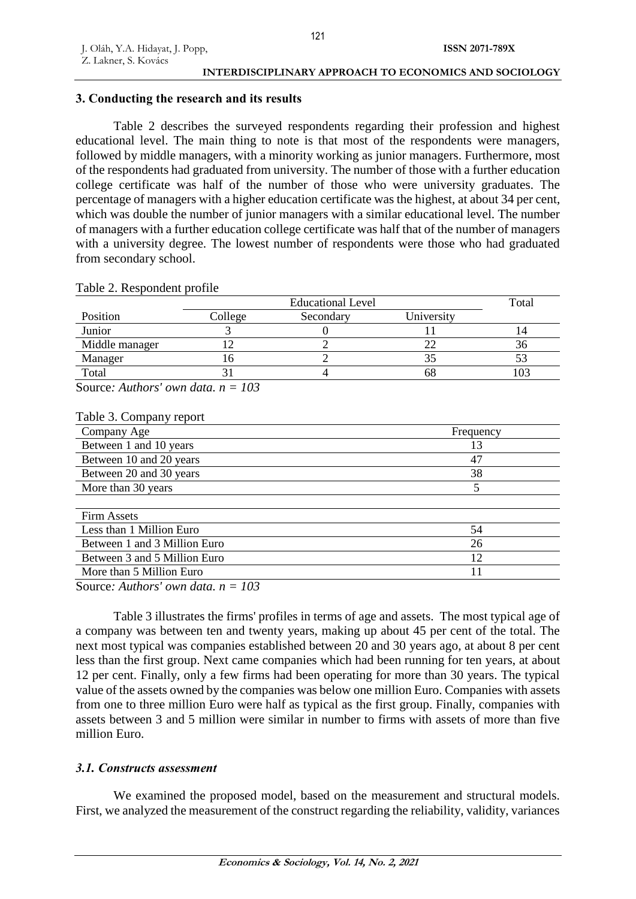## **3. Conducting the research and its results**

Table 2 describes the surveyed respondents regarding their profession and highest educational level. The main thing to note is that most of the respondents were managers, followed by middle managers, with a minority working as junior managers. Furthermore, most of the respondents had graduated from university. The number of those with a further education college certificate was half of the number of those who were university graduates. The percentage of managers with a higher education certificate was the highest, at about 34 per cent, which was double the number of junior managers with a similar educational level. The number of managers with a further education college certificate was half that of the number of managers with a university degree. The lowest number of respondents were those who had graduated from secondary school.

|                |         | <b>Educational Level</b> |            |     |  |  |  |
|----------------|---------|--------------------------|------------|-----|--|--|--|
| Position       | College | Secondary                | University |     |  |  |  |
| Junior         |         |                          |            | 14  |  |  |  |
| Middle manager |         |                          |            | 36  |  |  |  |
| Manager        |         |                          |            |     |  |  |  |
| Total          |         |                          | 68         | 103 |  |  |  |

## Table 2. Respondent profile

Source*: Authors' own data. n = 103*

#### Table 3. Company report

| Company Age                  | Frequency |
|------------------------------|-----------|
| Between 1 and 10 years       | 13        |
| Between 10 and 20 years      | 47        |
| Between 20 and 30 years      | 38        |
| More than 30 years           |           |
|                              |           |
| <b>Firm Assets</b>           |           |
| Less than 1 Million Euro     | 54        |
| Between 1 and 3 Million Euro | 26        |
| Between 3 and 5 Million Euro | 12        |
| More than 5 Million Euro     |           |

Source*: Authors' own data. n = 103*

Table 3 illustrates the firms' profiles in terms of age and assets. The most typical age of a company was between ten and twenty years, making up about 45 per cent of the total. The next most typical was companies established between 20 and 30 years ago, at about 8 per cent less than the first group. Next came companies which had been running for ten years, at about 12 per cent. Finally, only a few firms had been operating for more than 30 years. The typical value of the assets owned by the companies was below one million Euro. Companies with assets from one to three million Euro were half as typical as the first group. Finally, companies with assets between 3 and 5 million were similar in number to firms with assets of more than five million Euro.

## *3.1. Constructs assessment*

We examined the proposed model, based on the measurement and structural models. First, we analyzed the measurement of the construct regarding the reliability, validity, variances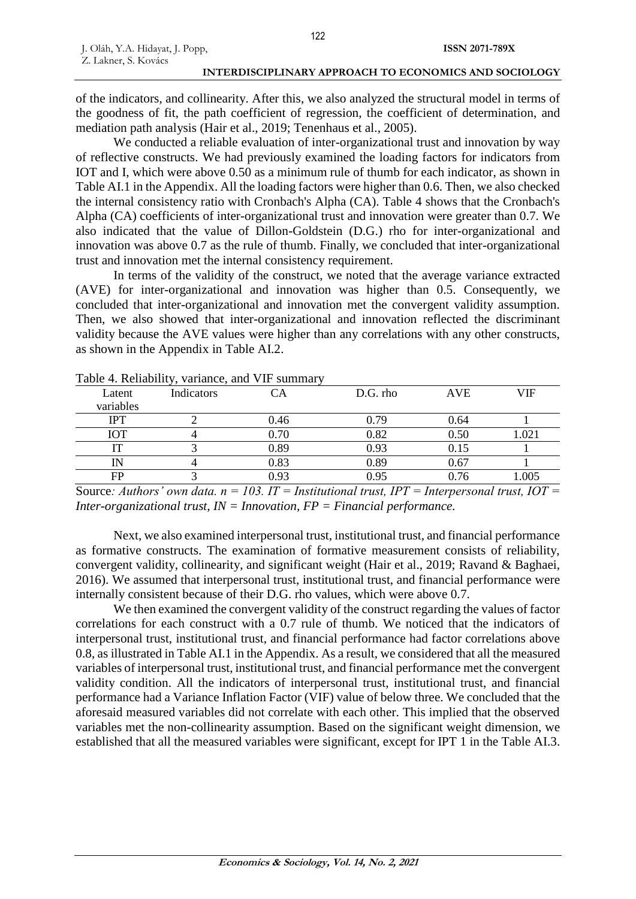of the indicators, and collinearity. After this, we also analyzed the structural model in terms of the goodness of fit, the path coefficient of regression, the coefficient of determination, and mediation path analysis (Hair et al., 2019; Tenenhaus et al., 2005).

We conducted a reliable evaluation of inter-organizational trust and innovation by way of reflective constructs. We had previously examined the loading factors for indicators from IOT and I, which were above 0.50 as a minimum rule of thumb for each indicator, as shown in Table AI.1 in the Appendix. All the loading factors were higher than 0.6. Then, we also checked the internal consistency ratio with Cronbach's Alpha (CA). Table 4 shows that the Cronbach's Alpha (CA) coefficients of inter-organizational trust and innovation were greater than 0.7. We also indicated that the value of Dillon-Goldstein (D.G.) rho for inter-organizational and innovation was above 0.7 as the rule of thumb. Finally, we concluded that inter-organizational trust and innovation met the internal consistency requirement.

In terms of the validity of the construct, we noted that the average variance extracted (AVE) for inter-organizational and innovation was higher than 0.5. Consequently, we concluded that inter-organizational and innovation met the convergent validity assumption. Then, we also showed that inter-organizational and innovation reflected the discriminant validity because the AVE values were higher than any correlations with any other constructs, as shown in the Appendix in Table AI.2.

|            | Table +. Inchability, variance, and vill summary |      |          |            |       |
|------------|--------------------------------------------------|------|----------|------------|-------|
| Latent     | Indicators                                       |      | D.G. rho | <b>AVE</b> | VIF   |
| variables  |                                                  |      |          |            |       |
| IPT        |                                                  | 0.46 | 0.79     | 0.64       |       |
| <b>IOT</b> |                                                  | 0.70 | 0.82     | 0.50       | 1.021 |
|            |                                                  | 0.89 | 0.93     | 0.15       |       |
| IΝ         |                                                  | 0.83 | 0.89     | 0.67       |       |
| FP         |                                                  | 0.93 | 0.95     | 0.76       | 1.005 |
|            |                                                  |      |          |            |       |

Table 4. Reliability, variance, and VIF summary

Source*: Authors' own data. n = 103. IT = Institutional trust, IPT = Interpersonal trust, IOT = Inter-organizational trust, IN = Innovation, FP = Financial performance.*

Next, we also examined interpersonal trust, institutional trust, and financial performance as formative constructs. The examination of formative measurement consists of reliability, convergent validity, collinearity, and significant weight (Hair et al., 2019; Ravand & Baghaei, 2016). We assumed that interpersonal trust, institutional trust, and financial performance were internally consistent because of their D.G. rho values, which were above 0.7.

We then examined the convergent validity of the construct regarding the values of factor correlations for each construct with a 0.7 rule of thumb. We noticed that the indicators of interpersonal trust, institutional trust, and financial performance had factor correlations above 0.8, as illustrated in Table AI.1 in the Appendix. As a result, we considered that all the measured variables of interpersonal trust, institutional trust, and financial performance met the convergent validity condition. All the indicators of interpersonal trust, institutional trust, and financial performance had a Variance Inflation Factor (VIF) value of below three. We concluded that the aforesaid measured variables did not correlate with each other. This implied that the observed variables met the non-collinearity assumption. Based on the significant weight dimension, we established that all the measured variables were significant, except for IPT 1 in the Table AI.3.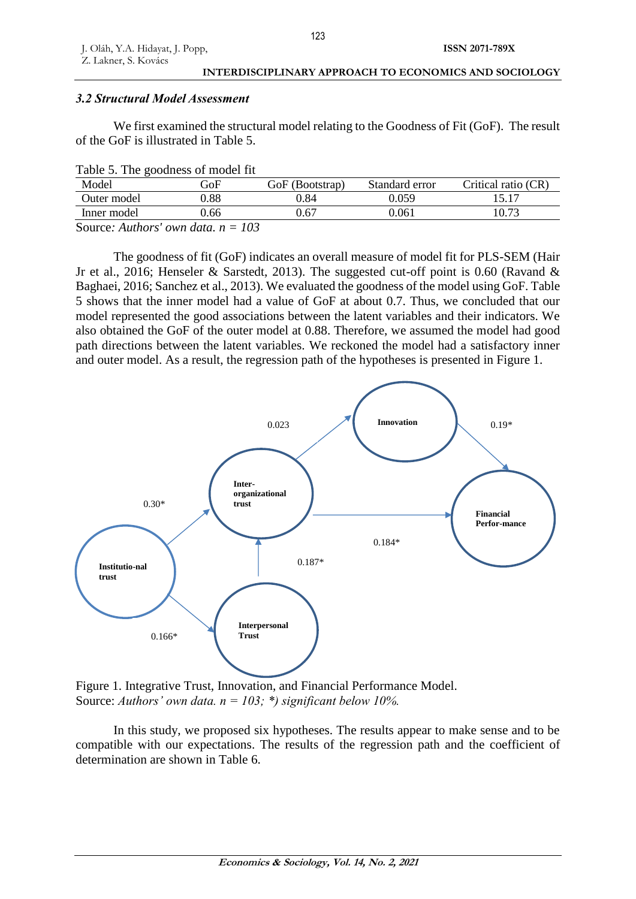## *3.2 Structural Model Assessment*

We first examined the structural model relating to the Goodness of Fit (GoF). The result of the GoF is illustrated in Table 5.

|  |  | Table 5. The goodness of model fit |  |  |  |
|--|--|------------------------------------|--|--|--|
|--|--|------------------------------------|--|--|--|

| Model                                | GoF  | GoF (Bootstrap) | Standard error | Critical ratio (CR) |
|--------------------------------------|------|-----------------|----------------|---------------------|
| Outer model                          | 0.88 | 0.84            | 0.059          |                     |
| Inner model                          | 0.66 | 0.67            | 0.061          | 10.73               |
| Source: Authors' own data, $n = 103$ |      |                 |                |                     |

The goodness of fit (GoF) indicates an overall measure of model fit for PLS-SEM (Hair Jr et al., 2016; Henseler & Sarstedt, 2013). The suggested cut-off point is 0.60 (Ravand & Baghaei, 2016; Sanchez et al., 2013). We evaluated the goodness of the model using GoF. Table 5 shows that the inner model had a value of GoF at about 0.7. Thus, we concluded that our model represented the good associations between the latent variables and their indicators. We also obtained the GoF of the outer model at 0.88. Therefore, we assumed the model had good path directions between the latent variables. We reckoned the model had a satisfactory inner and outer model. As a result, the regression path of the hypotheses is presented in Figure 1.



Figure 1. Integrative Trust, Innovation, and Financial Performance Model. Source: *Authors' own data. n = 103; \*) significant below 10%.*

In this study, we proposed six hypotheses. The results appear to make sense and to be compatible with our expectations. The results of the regression path and the coefficient of determination are shown in Table 6.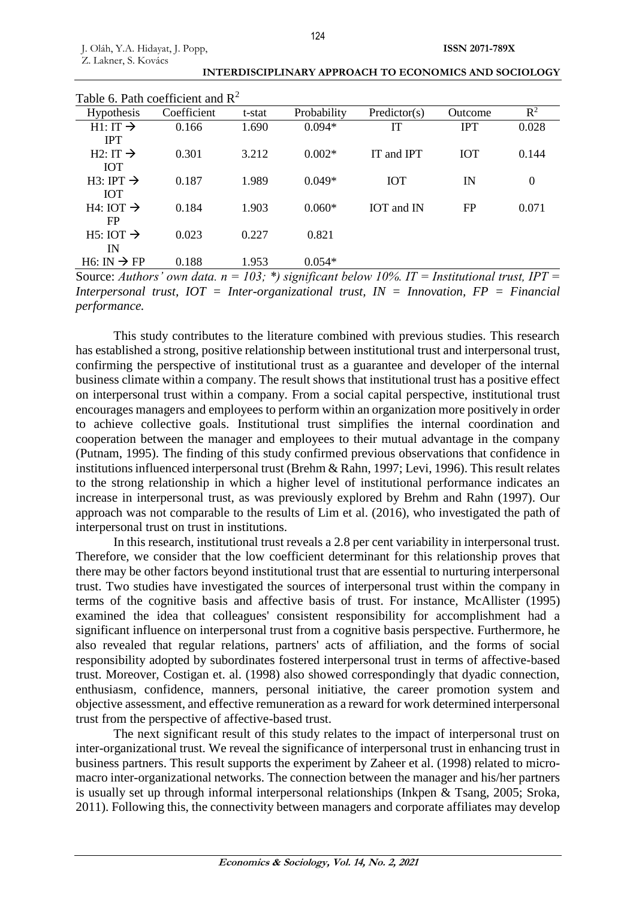| Table 6. Path coefficient and $\mathbb{R}^2$ |             |        |             |                                                                                                                             |            |          |
|----------------------------------------------|-------------|--------|-------------|-----------------------------------------------------------------------------------------------------------------------------|------------|----------|
| <b>Hypothesis</b>                            | Coefficient | t-stat | Probability | Predictor(s)                                                                                                                | Outcome    | $R^2$    |
| $H1:IT \rightarrow$                          | 0.166       | 1.690  | $0.094*$    | IТ                                                                                                                          | <b>IPT</b> | 0.028    |
| <b>IPT</b>                                   |             |        |             |                                                                                                                             |            |          |
| $H2: IT \rightarrow$                         | 0.301       | 3.212  | $0.002*$    | IT and IPT                                                                                                                  | <b>IOT</b> | 0.144    |
| <b>IOT</b>                                   |             |        |             |                                                                                                                             |            |          |
| $H3: IPT \rightarrow$                        | 0.187       | 1.989  | $0.049*$    | <b>IOT</b>                                                                                                                  | IN         | $\theta$ |
| <b>IOT</b>                                   |             |        |             |                                                                                                                             |            |          |
| $H4: IOT \rightarrow$                        | 0.184       | 1.903  | $0.060*$    | IOT and IN                                                                                                                  | FP         | 0.071    |
| FP                                           |             |        |             |                                                                                                                             |            |          |
| $H5: IOT \rightarrow$                        | 0.023       | 0.227  | 0.821       |                                                                                                                             |            |          |
| IN                                           |             |        |             |                                                                                                                             |            |          |
| $H6: IN \rightarrow FP$                      | 0.188       | 1.953  | $0.054*$    |                                                                                                                             |            |          |
|                                              |             |        |             | $\Omega_{\text{OMOM}}$ , fighting and data $\mu = 102$ , $\star$ significant leader $100/1$ $IT =$ Leather and time $IDT =$ |            |          |

**INTERDISCIPLINARY APPROACH TO ECONOMICS AND SOCIOLOGY**

Source: *Authors' own data.*  $n = 103$ ; \*) significant below 10%. IT = Institutional trust, IPT = *Interpersonal trust, IOT = Inter-organizational trust, IN = Innovation, FP = Financial performance.*

This study contributes to the literature combined with previous studies. This research has established a strong, positive relationship between institutional trust and interpersonal trust, confirming the perspective of institutional trust as a guarantee and developer of the internal business climate within a company. The result shows that institutional trust has a positive effect on interpersonal trust within a company. From a social capital perspective, institutional trust encourages managers and employees to perform within an organization more positively in order to achieve collective goals. Institutional trust simplifies the internal coordination and cooperation between the manager and employees to their mutual advantage in the company (Putnam, 1995). The finding of this study confirmed previous observations that confidence in institutions influenced interpersonal trust (Brehm & Rahn, 1997; Levi, 1996). This result relates to the strong relationship in which a higher level of institutional performance indicates an increase in interpersonal trust, as was previously explored by Brehm and Rahn (1997). Our approach was not comparable to the results of Lim et al. (2016), who investigated the path of interpersonal trust on trust in institutions.

In this research, institutional trust reveals a 2.8 per cent variability in interpersonal trust. Therefore, we consider that the low coefficient determinant for this relationship proves that there may be other factors beyond institutional trust that are essential to nurturing interpersonal trust. Two studies have investigated the sources of interpersonal trust within the company in terms of the cognitive basis and affective basis of trust. For instance, McAllister (1995) examined the idea that colleagues' consistent responsibility for accomplishment had a significant influence on interpersonal trust from a cognitive basis perspective. Furthermore, he also revealed that regular relations, partners' acts of affiliation, and the forms of social responsibility adopted by subordinates fostered interpersonal trust in terms of affective-based trust. Moreover, Costigan et. al. (1998) also showed correspondingly that dyadic connection, enthusiasm, confidence, manners, personal initiative, the career promotion system and objective assessment, and effective remuneration as a reward for work determined interpersonal trust from the perspective of affective-based trust.

The next significant result of this study relates to the impact of interpersonal trust on inter-organizational trust. We reveal the significance of interpersonal trust in enhancing trust in business partners. This result supports the experiment by Zaheer et al. (1998) related to micromacro inter-organizational networks. The connection between the manager and his/her partners is usually set up through informal interpersonal relationships (Inkpen & Tsang, 2005; Sroka, 2011). Following this, the connectivity between managers and corporate affiliates may develop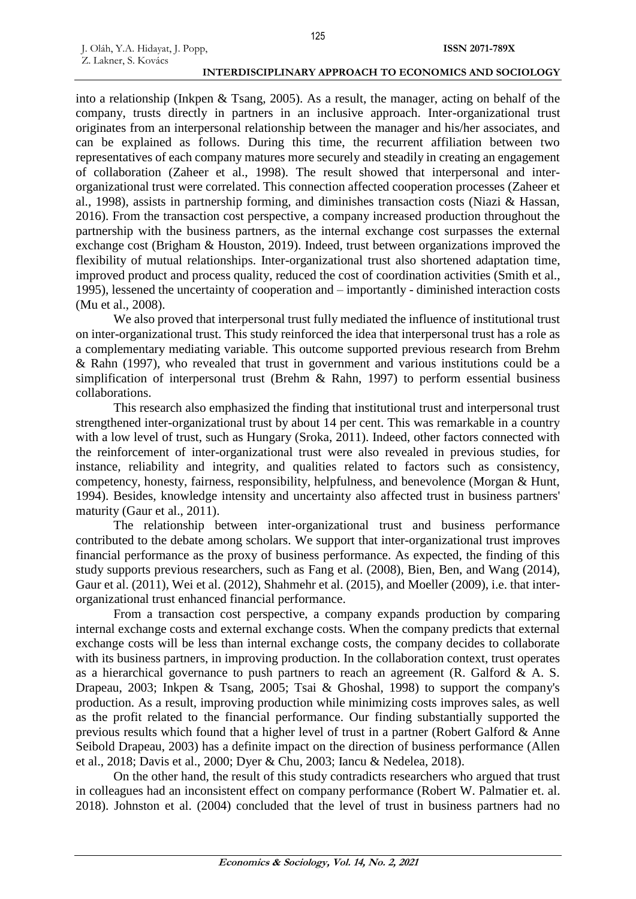J. Oláh, Y.A. Hidayat, J. Popp,

Z. Lakner, S. Kovács

into a relationship (Inkpen & Tsang, 2005). As a result, the manager, acting on behalf of the company, trusts directly in partners in an inclusive approach. Inter-organizational trust originates from an interpersonal relationship between the manager and his/her associates, and can be explained as follows. During this time, the recurrent affiliation between two representatives of each company matures more securely and steadily in creating an engagement of collaboration (Zaheer et al., 1998). The result showed that interpersonal and interorganizational trust were correlated. This connection affected cooperation processes (Zaheer et al., 1998), assists in partnership forming, and diminishes transaction costs (Niazi & Hassan, 2016). From the transaction cost perspective, a company increased production throughout the partnership with the business partners, as the internal exchange cost surpasses the external exchange cost (Brigham & Houston, 2019). Indeed, trust between organizations improved the flexibility of mutual relationships. Inter-organizational trust also shortened adaptation time, improved product and process quality, reduced the cost of coordination activities (Smith et al., 1995), lessened the uncertainty of cooperation and – importantly - diminished interaction costs (Mu et al., 2008).

We also proved that interpersonal trust fully mediated the influence of institutional trust on inter-organizational trust. This study reinforced the idea that interpersonal trust has a role as a complementary mediating variable. This outcome supported previous research from Brehm & Rahn (1997), who revealed that trust in government and various institutions could be a simplification of interpersonal trust (Brehm & Rahn, 1997) to perform essential business collaborations.

This research also emphasized the finding that institutional trust and interpersonal trust strengthened inter-organizational trust by about 14 per cent. This was remarkable in a country with a low level of trust, such as Hungary (Sroka, 2011). Indeed, other factors connected with the reinforcement of inter-organizational trust were also revealed in previous studies, for instance, reliability and integrity, and qualities related to factors such as consistency, competency, honesty, fairness, responsibility, helpfulness, and benevolence (Morgan & Hunt, 1994). Besides, knowledge intensity and uncertainty also affected trust in business partners' maturity (Gaur et al., 2011).

The relationship between inter-organizational trust and business performance contributed to the debate among scholars. We support that inter-organizational trust improves financial performance as the proxy of business performance. As expected, the finding of this study supports previous researchers, such as Fang et al. (2008), Bien, Ben, and Wang (2014), Gaur et al. (2011), Wei et al. (2012), Shahmehr et al. (2015), and Moeller (2009), i.e. that interorganizational trust enhanced financial performance.

From a transaction cost perspective, a company expands production by comparing internal exchange costs and external exchange costs. When the company predicts that external exchange costs will be less than internal exchange costs, the company decides to collaborate with its business partners, in improving production. In the collaboration context, trust operates as a hierarchical governance to push partners to reach an agreement (R. Galford  $\&$  A. S. Drapeau, 2003; Inkpen & Tsang, 2005; Tsai & Ghoshal, 1998) to support the company's production. As a result, improving production while minimizing costs improves sales, as well as the profit related to the financial performance. Our finding substantially supported the previous results which found that a higher level of trust in a partner (Robert Galford & Anne Seibold Drapeau, 2003) has a definite impact on the direction of business performance (Allen et al., 2018; Davis et al., 2000; Dyer & Chu, 2003; Iancu & Nedelea, 2018).

On the other hand, the result of this study contradicts researchers who argued that trust in colleagues had an inconsistent effect on company performance (Robert W. Palmatier et. al. 2018). Johnston et al. (2004) concluded that the level of trust in business partners had no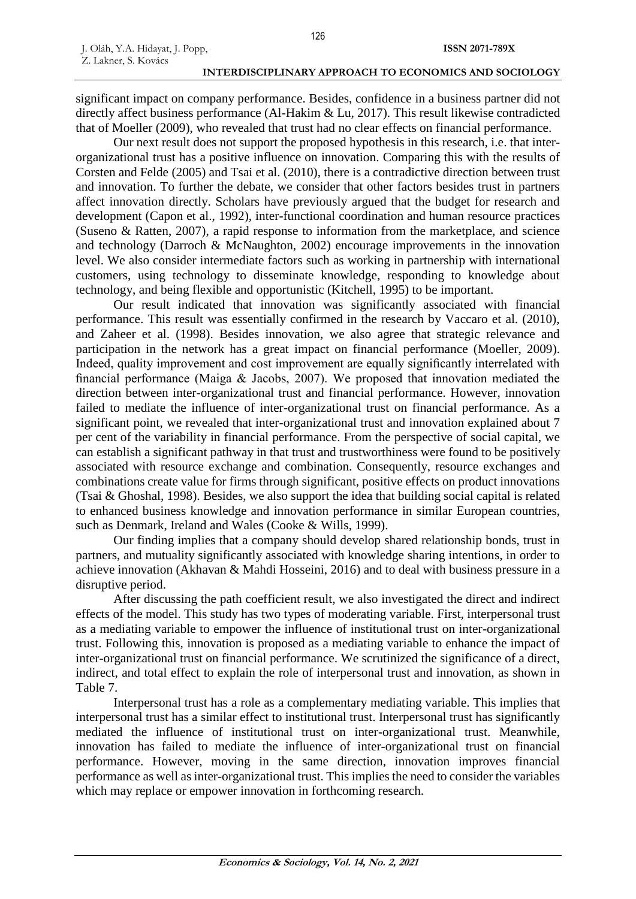significant impact on company performance. Besides, confidence in a business partner did not directly affect business performance (Al-Hakim & Lu, 2017). This result likewise contradicted that of Moeller (2009), who revealed that trust had no clear effects on financial performance.

Our next result does not support the proposed hypothesis in this research, i.e. that interorganizational trust has a positive influence on innovation. Comparing this with the results of Corsten and Felde (2005) and Tsai et al. (2010), there is a contradictive direction between trust and innovation. To further the debate, we consider that other factors besides trust in partners affect innovation directly. Scholars have previously argued that the budget for research and development (Capon et al., 1992), inter-functional coordination and human resource practices (Suseno & Ratten, 2007), a rapid response to information from the marketplace, and science and technology (Darroch & McNaughton, 2002) encourage improvements in the innovation level. We also consider intermediate factors such as working in partnership with international customers, using technology to disseminate knowledge, responding to knowledge about technology, and being flexible and opportunistic (Kitchell, 1995) to be important.

Our result indicated that innovation was significantly associated with financial performance. This result was essentially confirmed in the research by Vaccaro et al. (2010), and Zaheer et al. (1998). Besides innovation, we also agree that strategic relevance and participation in the network has a great impact on financial performance (Moeller, 2009). Indeed, quality improvement and cost improvement are equally significantly interrelated with financial performance (Maiga & Jacobs, 2007). We proposed that innovation mediated the direction between inter-organizational trust and financial performance. However, innovation failed to mediate the influence of inter-organizational trust on financial performance. As a significant point, we revealed that inter-organizational trust and innovation explained about 7 per cent of the variability in financial performance. From the perspective of social capital, we can establish a significant pathway in that trust and trustworthiness were found to be positively associated with resource exchange and combination. Consequently, resource exchanges and combinations create value for firms through significant, positive effects on product innovations (Tsai & Ghoshal, 1998). Besides, we also support the idea that building social capital is related to enhanced business knowledge and innovation performance in similar European countries, such as Denmark, Ireland and Wales (Cooke & Wills, 1999).

Our finding implies that a company should develop shared relationship bonds, trust in partners, and mutuality significantly associated with knowledge sharing intentions, in order to achieve innovation (Akhavan & Mahdi Hosseini, 2016) and to deal with business pressure in a disruptive period.

After discussing the path coefficient result, we also investigated the direct and indirect effects of the model. This study has two types of moderating variable. First, interpersonal trust as a mediating variable to empower the influence of institutional trust on inter-organizational trust. Following this, innovation is proposed as a mediating variable to enhance the impact of inter-organizational trust on financial performance. We scrutinized the significance of a direct, indirect, and total effect to explain the role of interpersonal trust and innovation, as shown in Table 7.

Interpersonal trust has a role as a complementary mediating variable. This implies that interpersonal trust has a similar effect to institutional trust. Interpersonal trust has significantly mediated the influence of institutional trust on inter-organizational trust. Meanwhile, innovation has failed to mediate the influence of inter-organizational trust on financial performance. However, moving in the same direction, innovation improves financial performance as well as inter-organizational trust. This implies the need to consider the variables which may replace or empower innovation in forthcoming research.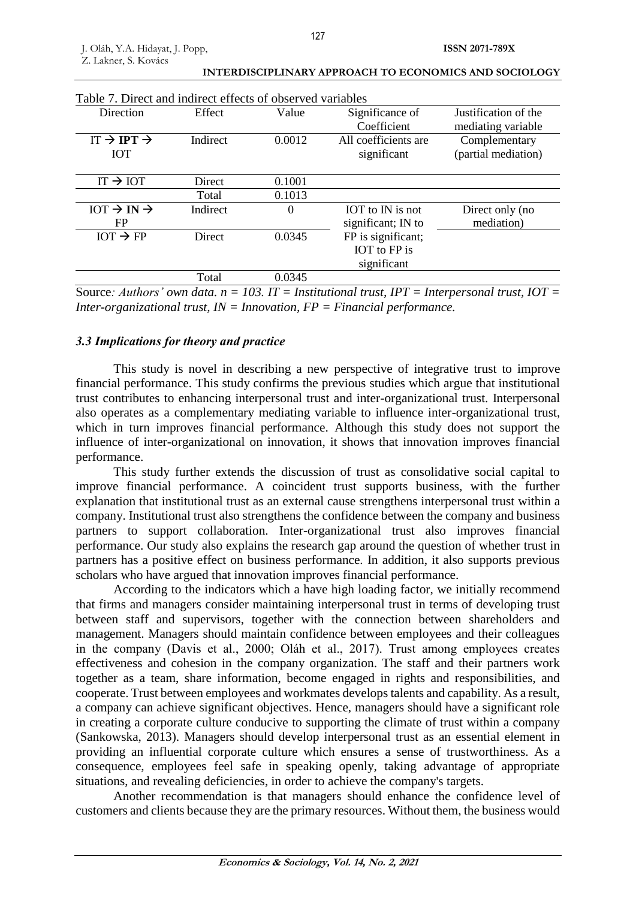| Table 7. Direct and indirect effects of observed variables |          |        |                      |                      |  |  |  |
|------------------------------------------------------------|----------|--------|----------------------|----------------------|--|--|--|
| Direction                                                  | Effect   | Value  | Significance of      | Justification of the |  |  |  |
|                                                            |          |        | Coefficient          | mediating variable   |  |  |  |
| $IT \rightarrow IPT \rightarrow$                           | Indirect | 0.0012 | All coefficients are | Complementary        |  |  |  |
| <b>IOT</b>                                                 |          |        | significant          | (partial mediation)  |  |  |  |
|                                                            |          |        |                      |                      |  |  |  |
| $IT \rightarrow IOT$                                       | Direct   | 0.1001 |                      |                      |  |  |  |
|                                                            | Total    | 0.1013 |                      |                      |  |  |  |
| $IOT \rightarrow IN \rightarrow$                           | Indirect | 0      | IOT to IN is not     | Direct only (no      |  |  |  |
| FP                                                         |          |        | significant; IN to   | mediation)           |  |  |  |
| $IOT \rightarrow FP$                                       | Direct   | 0.0345 | FP is significant;   |                      |  |  |  |
|                                                            |          |        | IOT to FP is         |                      |  |  |  |
|                                                            |          |        | significant          |                      |  |  |  |
|                                                            | Total    | 0.0345 |                      |                      |  |  |  |

Source: Authors' own data.  $n = 103$ . IT = Institutional trust, IPT = Interpersonal trust, IOT = *Inter-organizational trust, IN = Innovation, FP = Financial performance.*

### *3.3 Implications for theory and practice*

This study is novel in describing a new perspective of integrative trust to improve financial performance. This study confirms the previous studies which argue that institutional trust contributes to enhancing interpersonal trust and inter-organizational trust. Interpersonal also operates as a complementary mediating variable to influence inter-organizational trust, which in turn improves financial performance. Although this study does not support the influence of inter-organizational on innovation, it shows that innovation improves financial performance.

This study further extends the discussion of trust as consolidative social capital to improve financial performance. A coincident trust supports business, with the further explanation that institutional trust as an external cause strengthens interpersonal trust within a company. Institutional trust also strengthens the confidence between the company and business partners to support collaboration. Inter-organizational trust also improves financial performance. Our study also explains the research gap around the question of whether trust in partners has a positive effect on business performance. In addition, it also supports previous scholars who have argued that innovation improves financial performance.

According to the indicators which a have high loading factor, we initially recommend that firms and managers consider maintaining interpersonal trust in terms of developing trust between staff and supervisors, together with the connection between shareholders and management. Managers should maintain confidence between employees and their colleagues in the company (Davis et al., 2000; Oláh et al., 2017). Trust among employees creates effectiveness and cohesion in the company organization. The staff and their partners work together as a team, share information, become engaged in rights and responsibilities, and cooperate. Trust between employees and workmates develops talents and capability. As a result, a company can achieve significant objectives. Hence, managers should have a significant role in creating a corporate culture conducive to supporting the climate of trust within a company (Sankowska, 2013). Managers should develop interpersonal trust as an essential element in providing an influential corporate culture which ensures a sense of trustworthiness. As a consequence, employees feel safe in speaking openly, taking advantage of appropriate situations, and revealing deficiencies, in order to achieve the company's targets.

Another recommendation is that managers should enhance the confidence level of customers and clients because they are the primary resources. Without them, the business would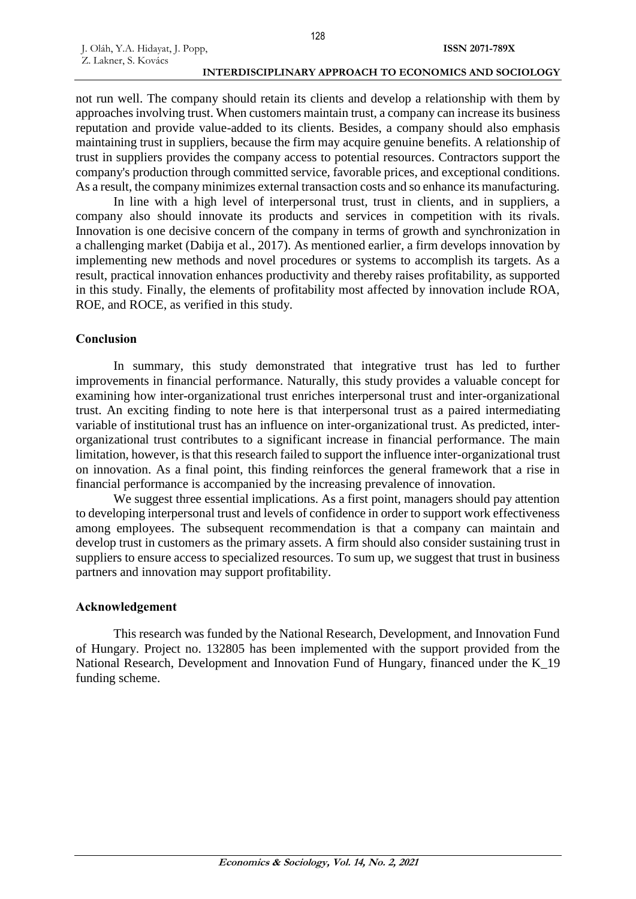not run well. The company should retain its clients and develop a relationship with them by approaches involving trust. When customers maintain trust, a company can increase its business reputation and provide value-added to its clients. Besides, a company should also emphasis maintaining trust in suppliers, because the firm may acquire genuine benefits. A relationship of trust in suppliers provides the company access to potential resources. Contractors support the company's production through committed service, favorable prices, and exceptional conditions. As a result, the company minimizes external transaction costs and so enhance its manufacturing.

In line with a high level of interpersonal trust, trust in clients, and in suppliers, a company also should innovate its products and services in competition with its rivals. Innovation is one decisive concern of the company in terms of growth and synchronization in a challenging market (Dabija et al., 2017). As mentioned earlier, a firm develops innovation by implementing new methods and novel procedures or systems to accomplish its targets. As a result, practical innovation enhances productivity and thereby raises profitability, as supported in this study. Finally, the elements of profitability most affected by innovation include ROA, ROE, and ROCE, as verified in this study.

### **Conclusion**

J. Oláh, Y.A. Hidayat, J. Popp,

Z. Lakner, S. Kovács

In summary, this study demonstrated that integrative trust has led to further improvements in financial performance. Naturally, this study provides a valuable concept for examining how inter-organizational trust enriches interpersonal trust and inter-organizational trust. An exciting finding to note here is that interpersonal trust as a paired intermediating variable of institutional trust has an influence on inter-organizational trust. As predicted, interorganizational trust contributes to a significant increase in financial performance. The main limitation, however, is that this research failed to support the influence inter-organizational trust on innovation. As a final point, this finding reinforces the general framework that a rise in financial performance is accompanied by the increasing prevalence of innovation.

We suggest three essential implications. As a first point, managers should pay attention to developing interpersonal trust and levels of confidence in order to support work effectiveness among employees. The subsequent recommendation is that a company can maintain and develop trust in customers as the primary assets. A firm should also consider sustaining trust in suppliers to ensure access to specialized resources. To sum up, we suggest that trust in business partners and innovation may support profitability.

## **Acknowledgement**

This research was funded by the National Research, Development, and Innovation Fund of Hungary. Project no. 132805 has been implemented with the support provided from the National Research, Development and Innovation Fund of Hungary, financed under the K\_19 funding scheme.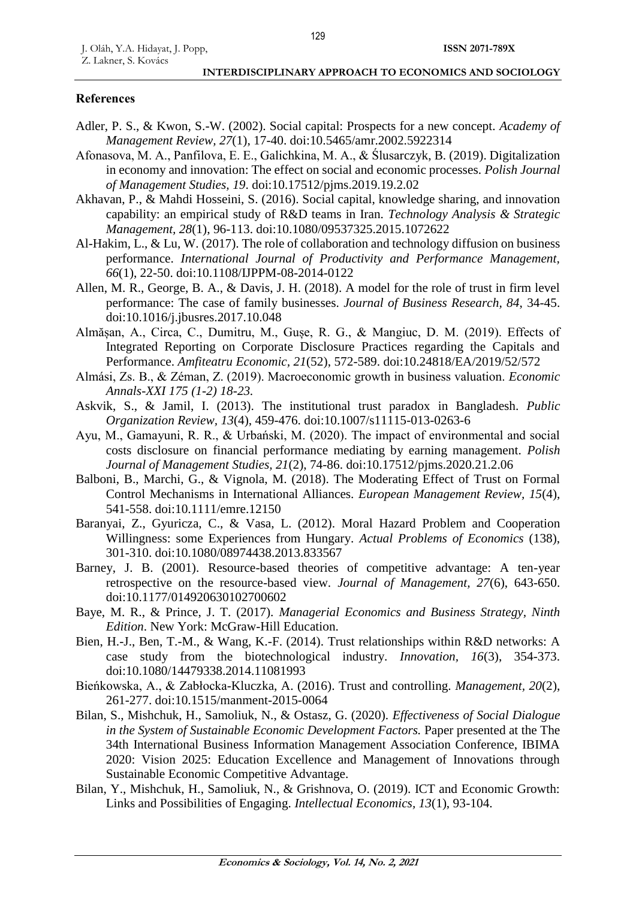## **References**

- Adler, P. S., & Kwon, S.-W. (2002). Social capital: Prospects for a new concept. *Academy of Management Review, 27*(1), 17-40. doi:10.5465/amr.2002.5922314
- Afonasova, M. A., Panfilova, E. E., Galichkina, M. A., & Ślusarczyk, B. (2019). Digitalization in economy and innovation: The effect on social and economic processes. *Polish Journal of Management Studies, 19*. doi:10.17512/pjms.2019.19.2.02
- Akhavan, P., & Mahdi Hosseini, S. (2016). Social capital, knowledge sharing, and innovation capability: an empirical study of R&D teams in Iran. *Technology Analysis & Strategic Management, 28*(1), 96-113. doi:10.1080/09537325.2015.1072622
- Al-Hakim, L., & Lu, W. (2017). The role of collaboration and technology diffusion on business performance. *International Journal of Productivity and Performance Management, 66*(1), 22-50. doi:10.1108/IJPPM-08-2014-0122
- Allen, M. R., George, B. A., & Davis, J. H. (2018). A model for the role of trust in firm level performance: The case of family businesses. *Journal of Business Research, 84*, 34-45. doi:10.1016/j.jbusres.2017.10.048
- Almășan, A., Circa, C., Dumitru, M., Gușe, R. G., & Mangiuc, D. M. (2019). Effects of Integrated Reporting on Corporate Disclosure Practices regarding the Capitals and Performance. *Amfiteatru Economic, 21*(52), 572-589. doi:10.24818/EA/2019/52/572
- Almási, Zs. B., & Zéman, Z. (2019). Macroeconomic growth in business valuation. *Economic Annals-XXI 175 (1-2) 18-23.*
- Askvik, S., & Jamil, I. (2013). The institutional trust paradox in Bangladesh. *Public Organization Review, 13*(4), 459-476. doi:10.1007/s11115-013-0263-6
- Ayu, M., Gamayuni, R. R., & Urbański, M. (2020). The impact of environmental and social costs disclosure on financial performance mediating by earning management. *Polish Journal of Management Studies, 21*(2), 74-86. doi:10.17512/pjms.2020.21.2.06
- Balboni, B., Marchi, G., & Vignola, M. (2018). The Moderating Effect of Trust on Formal Control Mechanisms in International Alliances. *European Management Review, 15*(4), 541-558. doi:10.1111/emre.12150
- Baranyai, Z., Gyuricza, C., & Vasa, L. (2012). Moral Hazard Problem and Cooperation Willingness: some Experiences from Hungary. *Actual Problems of Economics* (138), 301-310. doi:10.1080/08974438.2013.833567
- Barney, J. B. (2001). Resource-based theories of competitive advantage: A ten-year retrospective on the resource-based view. *Journal of Management, 27*(6), 643-650. doi:10.1177/014920630102700602
- Baye, M. R., & Prince, J. T. (2017). *Managerial Economics and Business Strategy, Ninth Edition*. New York: McGraw-Hill Education.
- Bien, H.-J., Ben, T.-M., & Wang, K.-F. (2014). Trust relationships within R&D networks: A case study from the biotechnological industry. *Innovation, 16*(3), 354-373. doi:10.1080/14479338.2014.11081993
- Bieńkowska, A., & Zabłocka-Kluczka, A. (2016). Trust and controlling. *Management, 20*(2), 261-277. doi:10.1515/manment-2015-0064
- Bilan, S., Mishchuk, H., Samoliuk, N., & Ostasz, G. (2020). *Effectiveness of Social Dialogue in the System of Sustainable Economic Development Factors.* Paper presented at the The 34th International Business Information Management Association Conference, IBIMA 2020: Vision 2025: Education Excellence and Management of Innovations through Sustainable Economic Competitive Advantage.
- Bilan, Y., Mishchuk, H., Samoliuk, N., & Grishnova, O. (2019). ICT and Economic Growth: Links and Possibilities of Engaging. *Intellectual Economics, 13*(1), 93-104.

129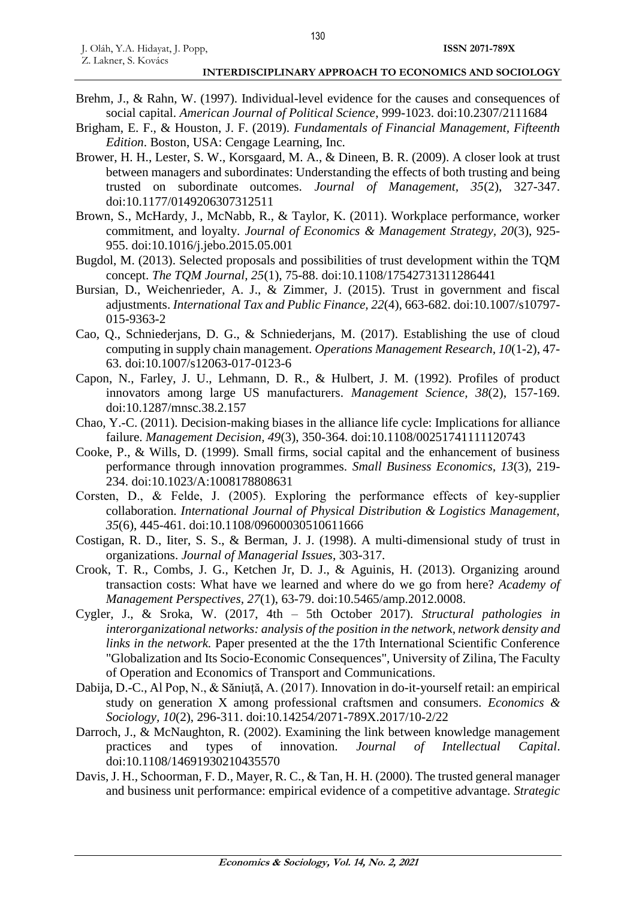- Brehm, J., & Rahn, W. (1997). Individual-level evidence for the causes and consequences of social capital. *American Journal of Political Science*, 999-1023. doi:10.2307/2111684
- Brigham, E. F., & Houston, J. F. (2019). *Fundamentals of Financial Management, Fifteenth Edition*. Boston, USA: Cengage Learning, Inc.
- Brower, H. H., Lester, S. W., Korsgaard, M. A., & Dineen, B. R. (2009). A closer look at trust between managers and subordinates: Understanding the effects of both trusting and being trusted on subordinate outcomes. *Journal of Management, 35*(2), 327-347. doi:10.1177/0149206307312511
- Brown, S., McHardy, J., McNabb, R., & Taylor, K. (2011). Workplace performance, worker commitment, and loyalty. *Journal of Economics & Management Strategy, 20*(3), 925- 955. doi:10.1016/j.jebo.2015.05.001
- Bugdol, M. (2013). Selected proposals and possibilities of trust development within the TQM concept. *The TQM Journal, 25*(1), 75-88. doi:10.1108/17542731311286441
- Bursian, D., Weichenrieder, A. J., & Zimmer, J. (2015). Trust in government and fiscal adjustments. *International Tax and Public Finance, 22*(4), 663-682. doi:10.1007/s10797- 015-9363-2
- Cao, Q., Schniederjans, D. G., & Schniederjans, M. (2017). Establishing the use of cloud computing in supply chain management. *Operations Management Research, 10*(1-2), 47- 63. doi:10.1007/s12063-017-0123-6
- Capon, N., Farley, J. U., Lehmann, D. R., & Hulbert, J. M. (1992). Profiles of product innovators among large US manufacturers. *Management Science, 38*(2), 157-169. doi:10.1287/mnsc.38.2.157
- Chao, Y.-C. (2011). Decision-making biases in the alliance life cycle: Implications for alliance failure. *Management Decision, 49*(3), 350-364. doi:10.1108/00251741111120743
- Cooke, P., & Wills, D. (1999). Small firms, social capital and the enhancement of business performance through innovation programmes. *Small Business Economics, 13*(3), 219- 234. doi:10.1023/A:1008178808631
- Corsten, D., & Felde, J. (2005). Exploring the performance effects of key‐supplier collaboration. *International Journal of Physical Distribution & Logistics Management, 35*(6), 445-461. doi:10.1108/09600030510611666
- Costigan, R. D., Iiter, S. S., & Berman, J. J. (1998). A multi-dimensional study of trust in organizations. *Journal of Managerial Issues*, 303-317.
- Crook, T. R., Combs, J. G., Ketchen Jr, D. J., & Aguinis, H. (2013). Organizing around transaction costs: What have we learned and where do we go from here? *Academy of Management Perspectives, 27*(1), 63-79. doi:10.5465/amp.2012.0008.
- Cygler, J., & Sroka, W. (2017, 4th 5th October 2017). *Structural pathologies in interorganizational networks: analysis of the position in the network, network density and links in the network.* Paper presented at the the 17th International Scientific Conference "Globalization and Its Socio-Economic Consequences", University of Zilina, The Faculty of Operation and Economics of Transport and Communications.
- Dabija, D.-C., Al Pop, N., & Săniuță, A. (2017). Innovation in do-it-yourself retail: an empirical study on generation X among professional craftsmen and consumers. *Economics & Sociology, 10*(2), 296-311. doi:10.14254/2071-789X.2017/10-2/22
- Darroch, J., & McNaughton, R. (2002). Examining the link between knowledge management practices and types of innovation. *Journal of Intellectual Capital*. doi:10.1108/14691930210435570
- Davis, J. H., Schoorman, F. D., Mayer, R. C., & Tan, H. H. (2000). The trusted general manager and business unit performance: empirical evidence of a competitive advantage. *Strategic*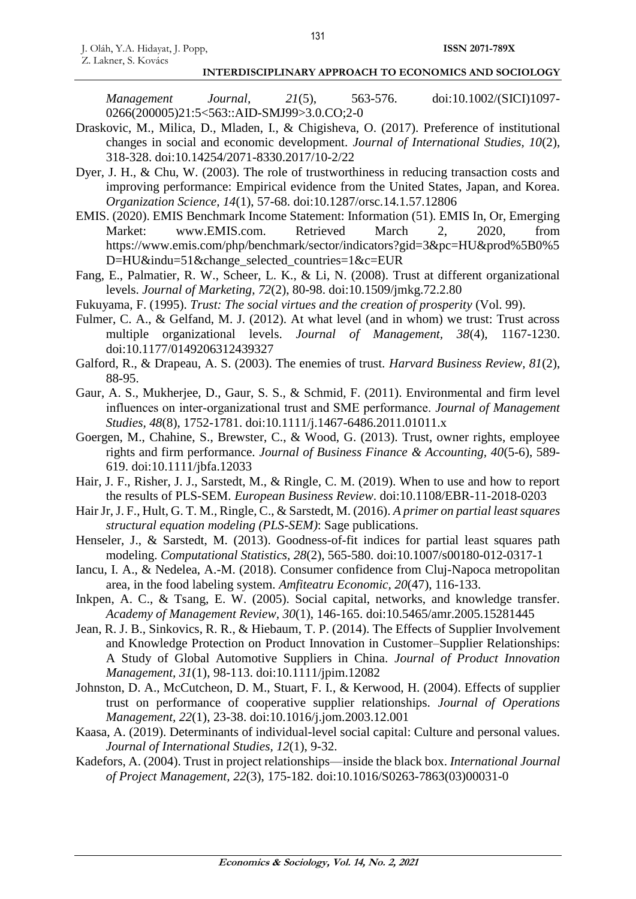*Management Journal, 21*(5), 563-576. doi:10.1002/(SICI)1097- 0266(200005)21:5<563::AID-SMJ99>3.0.CO;2-0

- Draskovic, M., Milica, D., Mladen, I., & Chigisheva, O. (2017). Preference of institutional changes in social and economic development. *Journal of International Studies, 10*(2), 318-328. doi:10.14254/2071-8330.2017/10-2/22
- Dyer, J. H., & Chu, W. (2003). The role of trustworthiness in reducing transaction costs and improving performance: Empirical evidence from the United States, Japan, and Korea. *Organization Science, 14*(1), 57-68. doi:10.1287/orsc.14.1.57.12806
- EMIS. (2020). EMIS Benchmark Income Statement: Information (51). EMIS In, Or, Emerging Market: www.EMIS.com. Retrieved March 2, 2020, from https://www.emis.com/php/benchmark/sector/indicators?gid=3&pc=HU&prod%5B0%5 D=HU&indu=51&change\_selected\_countries=1&c=EUR
- Fang, E., Palmatier, R. W., Scheer, L. K., & Li, N. (2008). Trust at different organizational levels. *Journal of Marketing, 72*(2), 80-98. doi:10.1509/jmkg.72.2.80
- Fukuyama, F. (1995). *Trust: The social virtues and the creation of prosperity* (Vol. 99).
- Fulmer, C. A., & Gelfand, M. J. (2012). At what level (and in whom) we trust: Trust across multiple organizational levels. *Journal of Management, 38*(4), 1167-1230. doi:10.1177/0149206312439327
- Galford, R., & Drapeau, A. S. (2003). The enemies of trust. *Harvard Business Review, 81*(2), 88-95.
- Gaur, A. S., Mukherjee, D., Gaur, S. S., & Schmid, F. (2011). Environmental and firm level influences on inter‐organizational trust and SME performance. *Journal of Management Studies, 48*(8), 1752-1781. doi:10.1111/j.1467-6486.2011.01011.x
- Goergen, M., Chahine, S., Brewster, C., & Wood, G. (2013). Trust, owner rights, employee rights and firm performance. *Journal of Business Finance & Accounting, 40*(5-6), 589- 619. doi:10.1111/jbfa.12033
- Hair, J. F., Risher, J. J., Sarstedt, M., & Ringle, C. M. (2019). When to use and how to report the results of PLS-SEM. *European Business Review*. doi:10.1108/EBR-11-2018-0203
- Hair Jr, J. F., Hult, G. T. M., Ringle, C., & Sarstedt, M. (2016). *A primer on partial least squares structural equation modeling (PLS-SEM)*: Sage publications.
- Henseler, J., & Sarstedt, M. (2013). Goodness-of-fit indices for partial least squares path modeling. *Computational Statistics, 28*(2), 565-580. doi:10.1007/s00180-012-0317-1
- Iancu, I. A., & Nedelea, A.-M. (2018). Consumer confidence from Cluj-Napoca metropolitan area, in the food labeling system. *Amfiteatru Economic, 20*(47), 116-133.
- Inkpen, A. C., & Tsang, E. W. (2005). Social capital, networks, and knowledge transfer. *Academy of Management Review, 30*(1), 146-165. doi:10.5465/amr.2005.15281445
- Jean, R. J. B., Sinkovics, R. R., & Hiebaum, T. P. (2014). The Effects of Supplier Involvement and Knowledge Protection on Product Innovation in Customer–Supplier Relationships: A Study of Global Automotive Suppliers in China. *Journal of Product Innovation Management, 31*(1), 98-113. doi:10.1111/jpim.12082
- Johnston, D. A., McCutcheon, D. M., Stuart, F. I., & Kerwood, H. (2004). Effects of supplier trust on performance of cooperative supplier relationships. *Journal of Operations Management, 22*(1), 23-38. doi:10.1016/j.jom.2003.12.001
- Kaasa, A. (2019). Determinants of individual-level social capital: Culture and personal values. *Journal of International Studies, 12*(1), 9-32.
- Kadefors, A. (2004). Trust in project relationships—inside the black box. *International Journal of Project Management, 22*(3), 175-182. doi:10.1016/S0263-7863(03)00031-0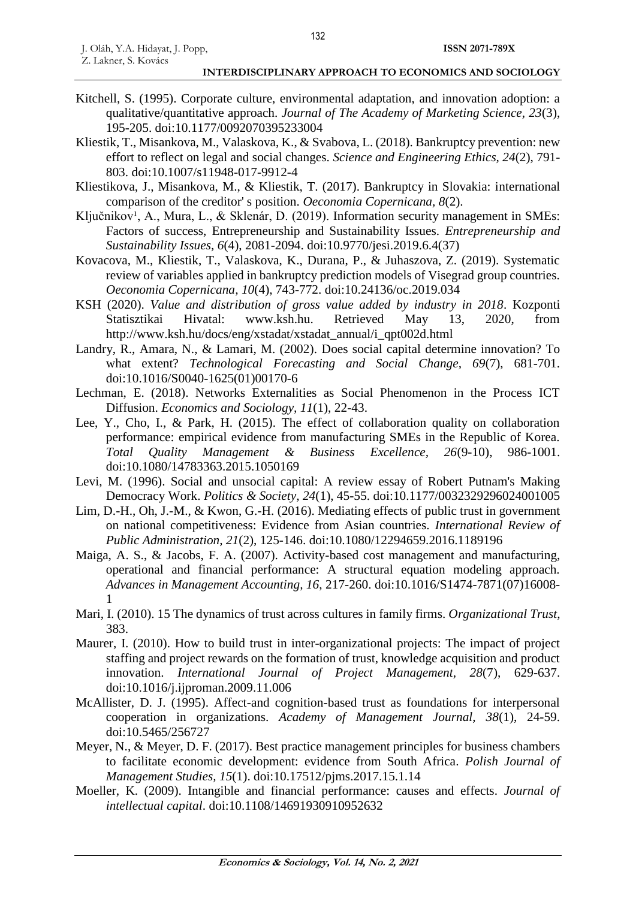- Kitchell, S. (1995). Corporate culture, environmental adaptation, and innovation adoption: a qualitative/quantitative approach. *Journal of The Academy of Marketing Science, 23*(3), 195-205. doi:10.1177/0092070395233004
- Kliestik, T., Misankova, M., Valaskova, K., & Svabova, L. (2018). Bankruptcy prevention: new effort to reflect on legal and social changes. *Science and Engineering Ethics, 24*(2), 791- 803. doi:10.1007/s11948-017-9912-4
- Kliestikova, J., Misankova, M., & Kliestik, T. (2017). Bankruptcy in Slovakia: international comparison of the creditor' s position. *Oeconomia Copernicana, 8*(2).
- Ključnikov<sup>1</sup>, A., Mura, L., & Sklenár, D. (2019). Information security management in SMEs: Factors of success, Entrepreneurship and Sustainability Issues. *Entrepreneurship and Sustainability Issues, 6*(4), 2081-2094. doi:10.9770/jesi.2019.6.4(37)
- Kovacova, M., Kliestik, T., Valaskova, K., Durana, P., & Juhaszova, Z. (2019). Systematic review of variables applied in bankruptcy prediction models of Visegrad group countries. *Oeconomia Copernicana, 10*(4), 743-772. doi:10.24136/oc.2019.034
- KSH (2020). *Value and distribution of gross value added by industry in 2018*. Kozponti Statisztikai Hivatal: www.ksh.hu. Retrieved May 13, 2020, from http://www.ksh.hu/docs/eng/xstadat/xstadat\_annual/i\_qpt002d.html
- Landry, R., Amara, N., & Lamari, M. (2002). Does social capital determine innovation? To what extent? *Technological Forecasting and Social Change, 69*(7), 681-701. doi:10.1016/S0040-1625(01)00170-6
- Lechman, E. (2018). Networks Externalities as Social Phenomenon in the Process ICT Diffusion. *Economics and Sociology, 11*(1), 22-43.
- Lee, Y., Cho, I., & Park, H. (2015). The effect of collaboration quality on collaboration performance: empirical evidence from manufacturing SMEs in the Republic of Korea. *Total Quality Management & Business Excellence, 26*(9-10), 986-1001. doi:10.1080/14783363.2015.1050169
- Levi, M. (1996). Social and unsocial capital: A review essay of Robert Putnam's Making Democracy Work. *Politics & Society, 24*(1), 45-55. doi:10.1177/0032329296024001005
- Lim, D.-H., Oh, J.-M., & Kwon, G.-H. (2016). Mediating effects of public trust in government on national competitiveness: Evidence from Asian countries. *International Review of Public Administration, 21*(2), 125-146. doi:10.1080/12294659.2016.1189196
- Maiga, A. S., & Jacobs, F. A. (2007). Activity-based cost management and manufacturing, operational and financial performance: A structural equation modeling approach. *Advances in Management Accounting, 16*, 217-260. doi:10.1016/S1474-7871(07)16008- 1
- Mari, I. (2010). 15 The dynamics of trust across cultures in family firms. *Organizational Trust*, 383.
- Maurer, I. (2010). How to build trust in inter-organizational projects: The impact of project staffing and project rewards on the formation of trust, knowledge acquisition and product innovation. *International Journal of Project Management, 28*(7), 629-637. doi:10.1016/j.ijproman.2009.11.006
- McAllister, D. J. (1995). Affect-and cognition-based trust as foundations for interpersonal cooperation in organizations. *Academy of Management Journal, 38*(1), 24-59. doi:10.5465/256727
- Meyer, N., & Meyer, D. F. (2017). Best practice management principles for business chambers to facilitate economic development: evidence from South Africa. *Polish Journal of Management Studies, 15*(1). doi:10.17512/pjms.2017.15.1.14
- Moeller, K. (2009). Intangible and financial performance: causes and effects. *Journal of intellectual capital*. doi:10.1108/14691930910952632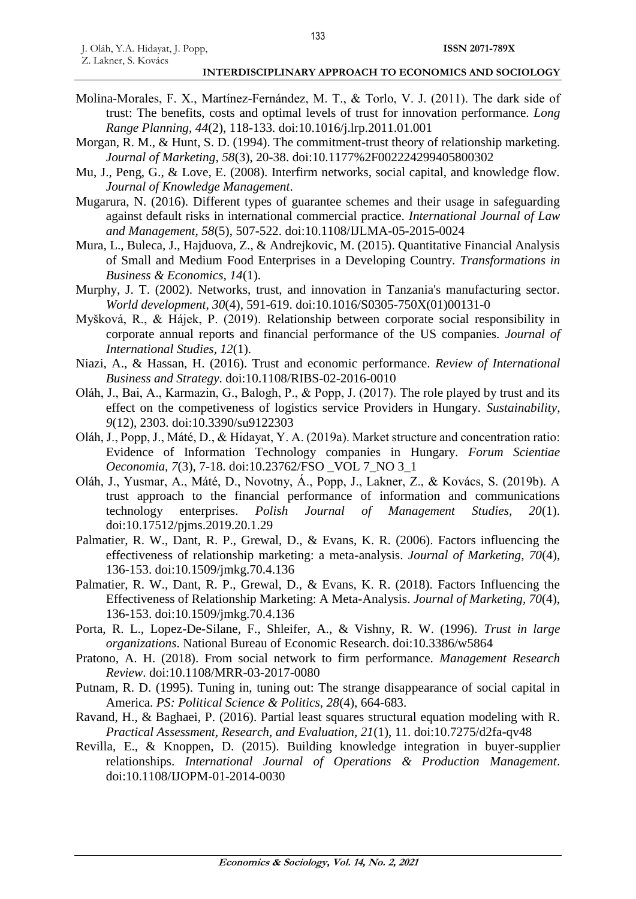- Molina-Morales, F. X., Martínez-Fernández, M. T., & Torlo, V. J. (2011). The dark side of trust: The benefits, costs and optimal levels of trust for innovation performance. *Long Range Planning, 44*(2), 118-133. doi:10.1016/j.lrp.2011.01.001
- Morgan, R. M., & Hunt, S. D. (1994). The commitment-trust theory of relationship marketing. *Journal of Marketing, 58*(3), 20-38. doi:10.1177%2F002224299405800302
- Mu, J., Peng, G., & Love, E. (2008). Interfirm networks, social capital, and knowledge flow. *Journal of Knowledge Management*.
- Mugarura, N. (2016). Different types of guarantee schemes and their usage in safeguarding against default risks in international commercial practice. *International Journal of Law and Management, 58*(5), 507-522. doi:10.1108/IJLMA-05-2015-0024
- Mura, L., Buleca, J., Hajduova, Z., & Andrejkovic, M. (2015). Quantitative Financial Analysis of Small and Medium Food Enterprises in a Developing Country. *Transformations in Business & Economics, 14*(1).
- Murphy, J. T. (2002). Networks, trust, and innovation in Tanzania's manufacturing sector. *World development, 30*(4), 591-619. doi:10.1016/S0305-750X(01)00131-0
- Myšková, R., & Hájek, P. (2019). Relationship between corporate social responsibility in corporate annual reports and financial performance of the US companies. *Journal of International Studies, 12*(1).
- Niazi, A., & Hassan, H. (2016). Trust and economic performance. *Review of International Business and Strategy*. doi:10.1108/RIBS-02-2016-0010
- Oláh, J., Bai, A., Karmazin, G., Balogh, P., & Popp, J. (2017). The role played by trust and its effect on the competiveness of logistics service Providers in Hungary. *Sustainability, 9*(12), 2303. doi:10.3390/su9122303
- Oláh, J., Popp, J., Máté, D., & Hidayat, Y. A. (2019a). Market structure and concentration ratio: Evidence of Information Technology companies in Hungary. *Forum Scientiae Oeconomia, 7*(3), 7-18. doi:10.23762/FSO \_VOL 7\_NO 3\_1
- Oláh, J., Yusmar, A., Máté, D., Novotny, Á., Popp, J., Lakner, Z., & Kovács, S. (2019b). A trust approach to the financial performance of information and communications technology enterprises. *Polish Journal of Management Studies, 20*(1). doi:10.17512/pjms.2019.20.1.29
- Palmatier, R. W., Dant, R. P., Grewal, D., & Evans, K. R. (2006). Factors influencing the effectiveness of relationship marketing: a meta-analysis. *Journal of Marketing, 70*(4), 136-153. doi:10.1509/jmkg.70.4.136
- Palmatier, R. W., Dant, R. P., Grewal, D., & Evans, K. R. (2018). Factors Influencing the Effectiveness of Relationship Marketing: A Meta-Analysis. *Journal of Marketing, 70*(4), 136-153. doi:10.1509/jmkg.70.4.136
- Porta, R. L., Lopez-De-Silane, F., Shleifer, A., & Vishny, R. W. (1996). *Trust in large organizations*. National Bureau of Economic Research. doi:10.3386/w5864
- Pratono, A. H. (2018). From social network to firm performance. *Management Research Review*. doi:10.1108/MRR-03-2017-0080
- Putnam, R. D. (1995). Tuning in, tuning out: The strange disappearance of social capital in America. *PS: Political Science & Politics, 28*(4), 664-683.
- Ravand, H., & Baghaei, P. (2016). Partial least squares structural equation modeling with R. *Practical Assessment, Research, and Evaluation, 21*(1), 11. doi:10.7275/d2fa-qv48
- Revilla, E., & Knoppen, D. (2015). Building knowledge integration in buyer-supplier relationships. *International Journal of Operations & Production Management*. doi:10.1108/IJOPM-01-2014-0030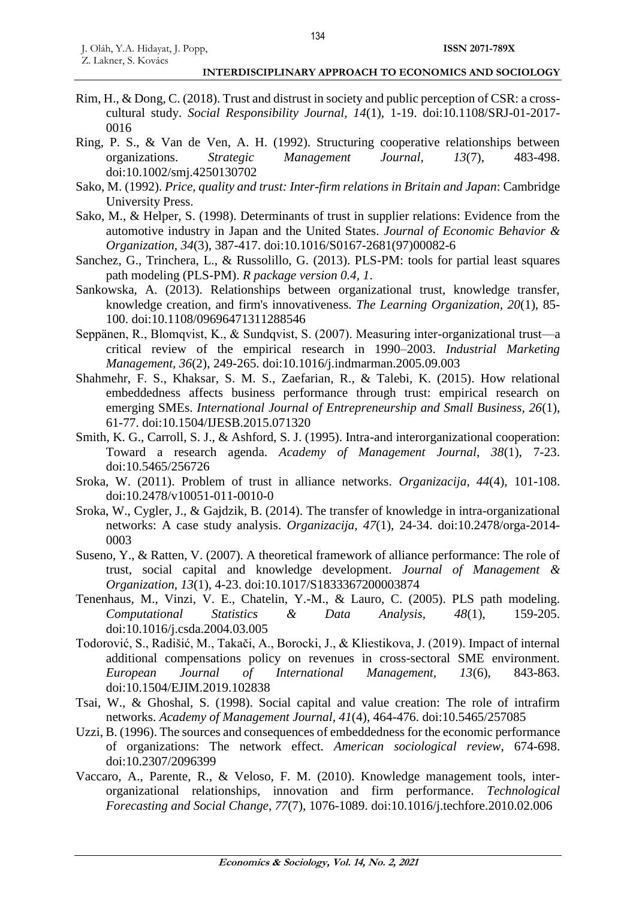- Rim, H., & Dong, C. (2018). Trust and distrust in society and public perception of CSR: a crosscultural study. *Social Responsibility Journal, 14*(1), 1-19. doi:10.1108/SRJ-01-2017- 0016
- Ring, P. S., & Van de Ven, A. H. (1992). Structuring cooperative relationships between organizations. *Strategic Management Journal, 13*(7), 483-498. doi:10.1002/smj.4250130702
- Sako, M. (1992). *Price, quality and trust: Inter-firm relations in Britain and Japan*: Cambridge University Press.
- Sako, M., & Helper, S. (1998). Determinants of trust in supplier relations: Evidence from the automotive industry in Japan and the United States. *Journal of Economic Behavior & Organization, 34*(3), 387-417. doi:10.1016/S0167-2681(97)00082-6
- Sanchez, G., Trinchera, L., & Russolillo, G. (2013). PLS-PM: tools for partial least squares path modeling (PLS-PM). *R package version 0.4, 1*.
- Sankowska, A. (2013). Relationships between organizational trust, knowledge transfer, knowledge creation, and firm's innovativeness. *The Learning Organization, 20*(1), 85- 100. doi:10.1108/09696471311288546
- Seppänen, R., Blomqvist, K., & Sundqvist, S. (2007). Measuring inter-organizational trust—a critical review of the empirical research in 1990–2003. *Industrial Marketing Management, 36*(2), 249-265. doi:10.1016/j.indmarman.2005.09.003
- Shahmehr, F. S., Khaksar, S. M. S., Zaefarian, R., & Talebi, K. (2015). How relational embeddedness affects business performance through trust: empirical research on emerging SMEs. *International Journal of Entrepreneurship and Small Business, 26*(1), 61-77. doi:10.1504/IJESB.2015.071320
- Smith, K. G., Carroll, S. J., & Ashford, S. J. (1995). Intra-and interorganizational cooperation: Toward a research agenda. *Academy of Management Journal, 38*(1), 7-23. doi:10.5465/256726
- Sroka, W. (2011). Problem of trust in alliance networks. *Organizacija, 44*(4), 101-108. doi:10.2478/v10051-011-0010-0
- Sroka, W., Cygler, J., & Gajdzik, B. (2014). The transfer of knowledge in intra-organizational networks: A case study analysis. *Organizacija, 47*(1), 24-34. doi:10.2478/orga-2014- 0003
- Suseno, Y., & Ratten, V. (2007). A theoretical framework of alliance performance: The role of trust, social capital and knowledge development. *Journal of Management & Organization, 13*(1), 4-23. doi:10.1017/S1833367200003874
- Tenenhaus, M., Vinzi, V. E., Chatelin, Y.-M., & Lauro, C. (2005). PLS path modeling. *Computational Statistics & Data Analysis, 48*(1), 159-205. doi:10.1016/j.csda.2004.03.005
- Todorović, S., Radišić, M., Takači, A., Borocki, J., & Kliestikova, J. (2019). Impact of internal additional compensations policy on revenues in cross-sectoral SME environment. *European Journal of International Management, 13*(6), 843-863. doi:10.1504/EJIM.2019.102838
- Tsai, W., & Ghoshal, S. (1998). Social capital and value creation: The role of intrafirm networks. *Academy of Management Journal, 41*(4), 464-476. doi:10.5465/257085
- Uzzi, B. (1996). The sources and consequences of embeddedness for the economic performance of organizations: The network effect. *American sociological review*, 674-698. doi:10.2307/2096399
- Vaccaro, A., Parente, R., & Veloso, F. M. (2010). Knowledge management tools, interorganizational relationships, innovation and firm performance. *Technological Forecasting and Social Change, 77*(7), 1076-1089. doi:10.1016/j.techfore.2010.02.006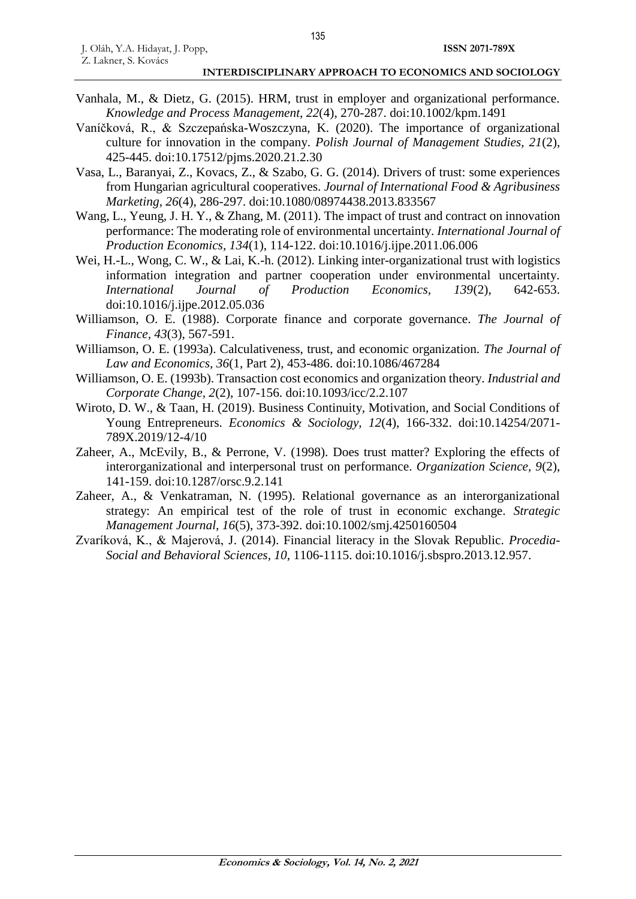- Vanhala, M., & Dietz, G. (2015). HRM, trust in employer and organizational performance. *Knowledge and Process Management, 22*(4), 270-287. doi:10.1002/kpm.1491
- Vaníčková, R., & Szczepańska-Woszczyna, K. (2020). The importance of organizational culture for innovation in the company. *Polish Journal of Management Studies, 21*(2), 425-445. doi:10.17512/pjms.2020.21.2.30
- Vasa, L., Baranyai, Z., Kovacs, Z., & Szabo, G. G. (2014). Drivers of trust: some experiences from Hungarian agricultural cooperatives. *Journal of International Food & Agribusiness Marketing, 26*(4), 286-297. doi:10.1080/08974438.2013.833567
- Wang, L., Yeung, J. H. Y., & Zhang, M. (2011). The impact of trust and contract on innovation performance: The moderating role of environmental uncertainty. *International Journal of Production Economics, 134*(1), 114-122. doi:10.1016/j.ijpe.2011.06.006
- Wei, H.-L., Wong, C. W., & Lai, K.-h. (2012). Linking inter-organizational trust with logistics information integration and partner cooperation under environmental uncertainty. *International Journal of Production Economics, 139*(2), 642-653. doi:10.1016/j.ijpe.2012.05.036
- Williamson, O. E. (1988). Corporate finance and corporate governance. *The Journal of Finance, 43*(3), 567-591.
- Williamson, O. E. (1993a). Calculativeness, trust, and economic organization. *The Journal of Law and Economics, 36*(1, Part 2), 453-486. doi:10.1086/467284
- Williamson, O. E. (1993b). Transaction cost economics and organization theory. *Industrial and Corporate Change, 2*(2), 107-156. doi:10.1093/icc/2.2.107
- Wiroto, D. W., & Taan, H. (2019). Business Continuity, Motivation, and Social Conditions of Young Entrepreneurs. *Economics & Sociology, 12*(4), 166-332. doi:10.14254/2071- 789X.2019/12-4/10
- Zaheer, A., McEvily, B., & Perrone, V. (1998). Does trust matter? Exploring the effects of interorganizational and interpersonal trust on performance. *Organization Science, 9*(2), 141-159. doi:10.1287/orsc.9.2.141
- Zaheer, A., & Venkatraman, N. (1995). Relational governance as an interorganizational strategy: An empirical test of the role of trust in economic exchange. *Strategic Management Journal, 16*(5), 373-392. doi:10.1002/smj.4250160504
- Zvaríková, K., & Majerová, J. (2014). Financial literacy in the Slovak Republic. *Procedia-Social and Behavioral Sciences, 10*, 1106-1115. doi:10.1016/j.sbspro.2013.12.957.